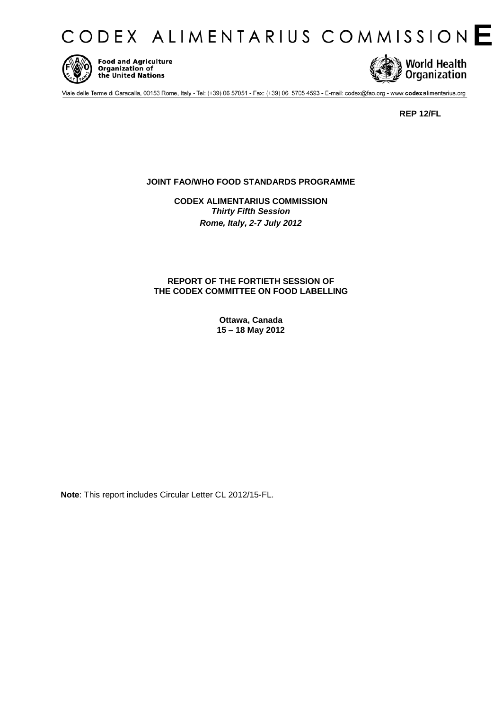



**Food and Agriculture Code and Agriculture**<br>**Organization of**<br>the United Nations



Viale delle Terme di Caracalla, 00153 Rome, Italy - Tel: (+39) 06 57051 - Fax: (+39) 06 5705 4593 - E-mail: codex@fao.org - www.codexalimentarius.org

**REP 12/FL**

# **JOINT FAO/WHO FOOD STANDARDS PROGRAMME**

**CODEX ALIMENTARIUS COMMISSION**  *Thirty Fifth Session Rome, Italy, 2-7 July 2012* 

# **REPORT OF THE FORTIETH SESSION OF THE CODEX COMMITTEE ON FOOD LABELLING**

**Ottawa, Canada 15 – 18 May 2012** 

**Note**: This report includes Circular Letter CL 2012/15-FL.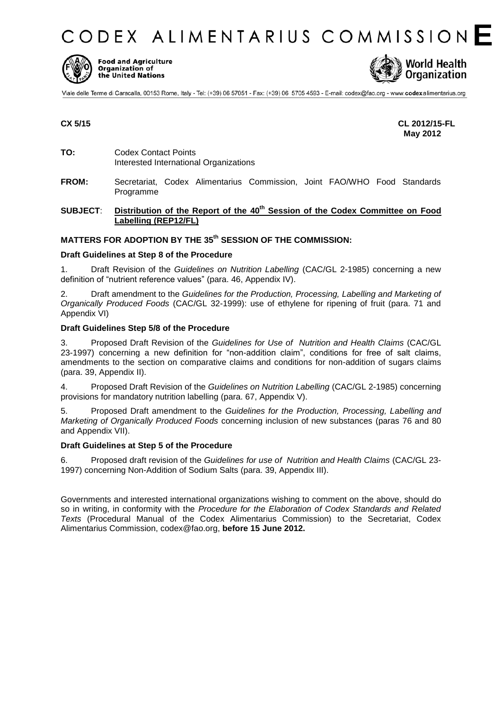CODEX ALIMENTARIUS COMMISSION E



**Food and Agriculture** Organization of the United Nations



Viale delle Terme di Caracalla, 00153 Rome, Italy - Tel: (+39) 06 57051 - Fax: (+39) 06 5705 4593 - E-mail: codex@fao.org - www.codexalimentarius.org

**CX 5/15 CL 2012/15-FL May 2012** 

- **TO:** Codex Contact Points Interested International Organizations
- **FROM:** Secretariat, Codex Alimentarius Commission, Joint FAO/WHO Food Standards Programme

# **SUBJECT**: **Distribution of the Report of the 40th Session of the Codex Committee on Food Labelling (REP12/FL)**

# **MATTERS FOR ADOPTION BY THE 35th SESSION OF THE COMMISSION:**

### **Draft Guidelines at Step 8 of the Procedure**

1. Draft Revision of the *Guidelines on Nutrition Labelling* (CAC/GL 2-1985) concerning a new definition of "nutrient reference values" (para. 46, Appendix IV).

2. Draft amendment to the *Guidelines for the Production, Processing, Labelling and Marketing of Organically Produced Foods* (CAC/GL 32-1999): use of ethylene for ripening of fruit (para. 71 and Appendix VI)

### **Draft Guidelines Step 5/8 of the Procedure**

3. Proposed Draft Revision of the *Guidelines for Use of Nutrition and Health Claims* (CAC/GL 23-1997) concerning a new definition for "non-addition claim", conditions for free of salt claims, amendments to the section on comparative claims and conditions for non-addition of sugars claims (para. 39, Appendix II).

4. Proposed Draft Revision of the *Guidelines on Nutrition Labelling* (CAC/GL 2-1985) concerning provisions for mandatory nutrition labelling (para. 67, Appendix V).

5. Proposed Draft amendment to the *Guidelines for the Production, Processing, Labelling and Marketing of Organically Produced Foods* concerning inclusion of new substances (paras 76 and 80 and Appendix VII).

### **Draft Guidelines at Step 5 of the Procedure**

6. Proposed draft revision of the *Guidelines for use of Nutrition and Health Claims* (CAC/GL 23- 1997) concerning Non-Addition of Sodium Salts (para. 39, Appendix III).

Governments and interested international organizations wishing to comment on the above, should do so in writing, in conformity with the *Procedure for the Elaboration of Codex Standards and Related Texts* (Procedural Manual of the Codex Alimentarius Commission) to the Secretariat, Codex Alimentarius Commission, codex@fao.org, **before 15 June 2012.**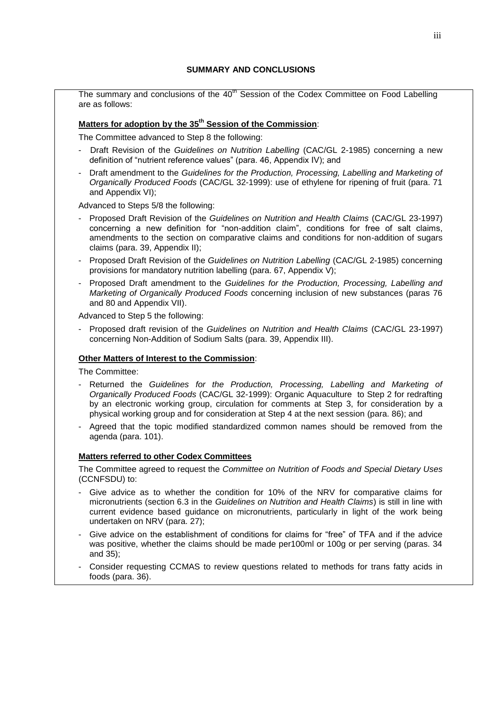The summary and conclusions of the 40<sup>th</sup> Session of the Codex Committee on Food Labelling are as follows:

# **Matters for adoption by the 35 th Session of the Commission**:

The Committee advanced to Step 8 the following:

- Draft Revision of the *Guidelines on Nutrition Labelling* (CAC/GL 2-1985) concerning a new definition of "nutrient reference values" (para. 46, Appendix IV); and
- Draft amendment to the *Guidelines for the Production, Processing, Labelling and Marketing of Organically Produced Foods* (CAC/GL 32-1999): use of ethylene for ripening of fruit (para. 71 and Appendix VI);

Advanced to Steps 5/8 the following:

- Proposed Draft Revision of the *Guidelines on Nutrition and Health Claims* (CAC/GL 23-1997) concerning a new definition for "non-addition claim", conditions for free of salt claims, amendments to the section on comparative claims and conditions for non-addition of sugars claims (para. 39, Appendix II);
- Proposed Draft Revision of the *Guidelines on Nutrition Labelling* (CAC/GL 2-1985) concerning provisions for mandatory nutrition labelling (para. 67, Appendix V);
- Proposed Draft amendment to the *Guidelines for the Production, Processing, Labelling and Marketing of Organically Produced Foods* concerning inclusion of new substances (paras 76 and 80 and Appendix VII).

Advanced to Step 5 the following:

- Proposed draft revision of the *Guidelines on Nutrition and Health Claims* (CAC/GL 23-1997) concerning Non-Addition of Sodium Salts (para. 39, Appendix III).

# **Other Matters of Interest to the Commission**:

The Committee:

- Returned the *Guidelines for the Production, Processing, Labelling and Marketing of Organically Produced Foods* (CAC/GL 32-1999): Organic Aquaculture to Step 2 for redrafting by an electronic working group, circulation for comments at Step 3, for consideration by a physical working group and for consideration at Step 4 at the next session (para. 86); and
- Agreed that the topic modified standardized common names should be removed from the agenda (para. 101).

# **Matters referred to other Codex Committees**

The Committee agreed to request the *Committee on Nutrition of Foods and Special Dietary Uses* (CCNFSDU) to:

- Give advice as to whether the condition for 10% of the NRV for comparative claims for micronutrients (section 6.3 in the *Guidelines on Nutrition and Health Claims*) is still in line with current evidence based guidance on micronutrients, particularly in light of the work being undertaken on NRV (para. 27);
- Give advice on the establishment of conditions for claims for "free" of TFA and if the advice was positive, whether the claims should be made per100ml or 100g or per serving (paras. 34 and 35);
- Consider requesting CCMAS to review questions related to methods for trans fatty acids in foods (para. 36).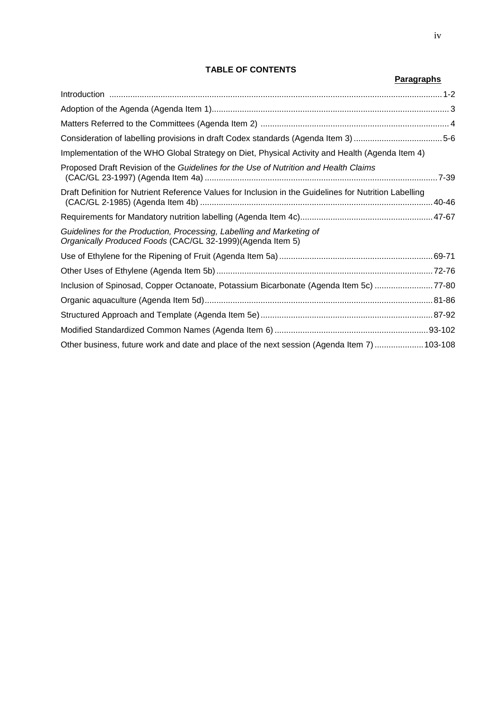# **TABLE OF CONTENTS**

|                                                                                                                                      | <b>Paragraphs</b> |
|--------------------------------------------------------------------------------------------------------------------------------------|-------------------|
|                                                                                                                                      |                   |
|                                                                                                                                      |                   |
|                                                                                                                                      |                   |
|                                                                                                                                      |                   |
| Implementation of the WHO Global Strategy on Diet, Physical Activity and Health (Agenda Item 4)                                      |                   |
| Proposed Draft Revision of the Guidelines for the Use of Nutrition and Health Claims                                                 |                   |
| Draft Definition for Nutrient Reference Values for Inclusion in the Guidelines for Nutrition Labelling                               |                   |
|                                                                                                                                      |                   |
| Guidelines for the Production, Processing, Labelling and Marketing of<br>Organically Produced Foods (CAC/GL 32-1999) (Agenda Item 5) |                   |
|                                                                                                                                      |                   |
|                                                                                                                                      |                   |
| Inclusion of Spinosad, Copper Octanoate, Potassium Bicarbonate (Agenda Item 5c) 77-80                                                |                   |
|                                                                                                                                      |                   |
|                                                                                                                                      |                   |
|                                                                                                                                      |                   |
| Other business, future work and date and place of the next session (Agenda Item 7)  103-108                                          |                   |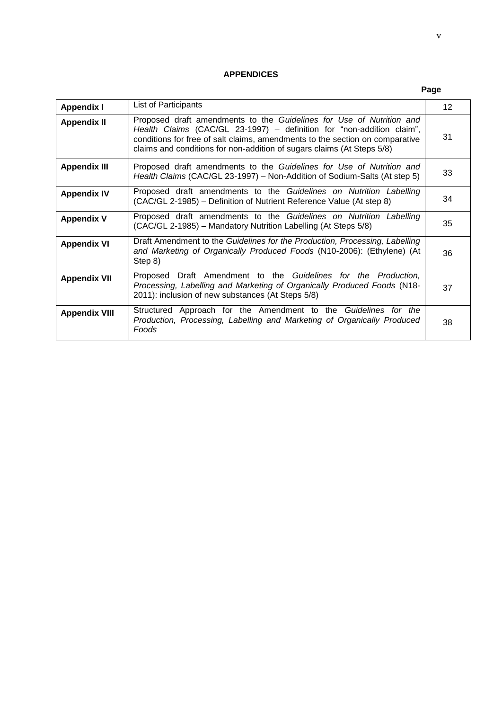# **APPENDICES**

# **Page**

| <b>Appendix I</b>    | List of Participants                                                                                                                                                                                                                                                                                    | 12 |
|----------------------|---------------------------------------------------------------------------------------------------------------------------------------------------------------------------------------------------------------------------------------------------------------------------------------------------------|----|
| <b>Appendix II</b>   | Proposed draft amendments to the Guidelines for Use of Nutrition and<br>Health Claims (CAC/GL 23-1997) – definition for "non-addition claim",<br>conditions for free of salt claims, amendments to the section on comparative<br>claims and conditions for non-addition of sugars claims (At Steps 5/8) | 31 |
| <b>Appendix III</b>  | Proposed draft amendments to the Guidelines for Use of Nutrition and<br>Health Claims (CAC/GL 23-1997) - Non-Addition of Sodium-Salts (At step 5)                                                                                                                                                       | 33 |
| <b>Appendix IV</b>   | Proposed draft amendments to the Guidelines on Nutrition Labelling<br>(CAC/GL 2-1985) – Definition of Nutrient Reference Value (At step 8)                                                                                                                                                              | 34 |
| <b>Appendix V</b>    | Proposed draft amendments to the Guidelines on Nutrition Labelling<br>(CAC/GL 2-1985) – Mandatory Nutrition Labelling (At Steps 5/8)                                                                                                                                                                    | 35 |
| <b>Appendix VI</b>   | Draft Amendment to the Guidelines for the Production, Processing, Labelling<br>and Marketing of Organically Produced Foods (N10-2006): (Ethylene) (At<br>Step 8)                                                                                                                                        | 36 |
| <b>Appendix VII</b>  | Proposed Draft Amendment to the Guidelines for the Production,<br>Processing, Labelling and Marketing of Organically Produced Foods (N18-<br>2011): inclusion of new substances (At Steps 5/8)                                                                                                          | 37 |
| <b>Appendix VIII</b> | Structured Approach for the Amendment to the Guidelines for the<br>Production, Processing, Labelling and Marketing of Organically Produced<br>Foods                                                                                                                                                     | 38 |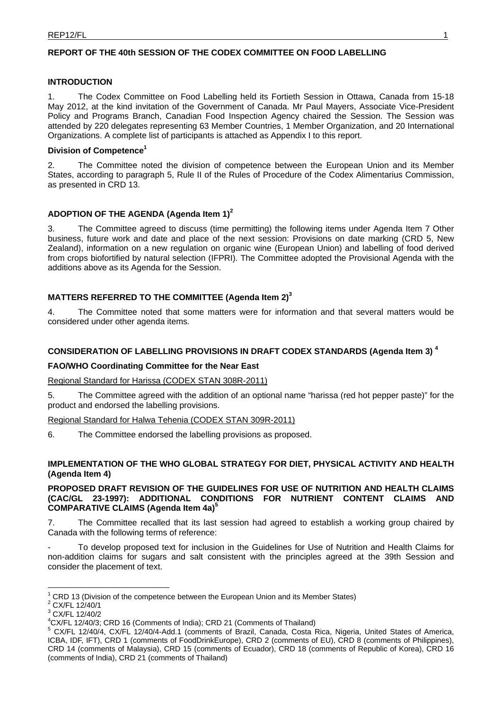# **REPORT OF THE 40th SESSION OF THE CODEX COMMITTEE ON FOOD LABELLING**

### **INTRODUCTION**

1. The Codex Committee on Food Labelling held its Fortieth Session in Ottawa, Canada from 15-18 May 2012, at the kind invitation of the Government of Canada. Mr Paul Mayers, Associate Vice-President Policy and Programs Branch, Canadian Food Inspection Agency chaired the Session. The Session was attended by 220 delegates representing 63 Member Countries, 1 Member Organization, and 20 International Organizations. A complete list of participants is attached as Appendix I to this report.

# **Division of Competence1**

2. The Committee noted the division of competence between the European Union and its Member States, according to paragraph 5, Rule II of the Rules of Procedure of the Codex Alimentarius Commission, as presented in CRD 13.

# ADOPTION OF THE AGENDA (Agenda Item 1)<sup>2</sup>

3. The Committee agreed to discuss (time permitting) the following items under Agenda Item 7 Other business, future work and date and place of the next session: Provisions on date marking (CRD 5, New Zealand), information on a new regulation on organic wine (European Union) and labelling of food derived from crops biofortified by natural selection (IFPRI). The Committee adopted the Provisional Agenda with the additions above as its Agenda for the Session.

# **MATTERS REFERRED TO THE COMMITTEE (Agenda Item 2)<sup>3</sup>**

4. The Committee noted that some matters were for information and that several matters would be considered under other agenda items.

# **CONSIDERATION OF LABELLING PROVISIONS IN DRAFT CODEX STANDARDS (Agenda Item 3) 4**

# **FAO/WHO Coordinating Committee for the Near East**

Regional Standard for Harissa (CODEX STAN 308R-2011)

5. The Committee agreed with the addition of an optional name "harissa (red hot pepper paste)" for the product and endorsed the labelling provisions.

### Regional Standard for Halwa Tehenia (CODEX STAN 309R-2011)

6. The Committee endorsed the labelling provisions as proposed.

# **IMPLEMENTATION OF THE WHO GLOBAL STRATEGY FOR DIET, PHYSICAL ACTIVITY AND HEALTH (Agenda Item 4)**

# **PROPOSED DRAFT REVISION OF THE GUIDELINES FOR USE OF NUTRITION AND HEALTH CLAIMS (CAC/GL 23-1997): ADDITIONAL CONDITIONS FOR NUTRIENT CONTENT CLAIMS AND COMPARATIVE CLAIMS (Agenda Item 4a)5**

7. The Committee recalled that its last session had agreed to establish a working group chaired by Canada with the following terms of reference:

- To develop proposed text for inclusion in the Guidelines for Use of Nutrition and Health Claims for non-addition claims for sugars and salt consistent with the principles agreed at the 39th Session and consider the placement of text.

 $\overline{a}$ 

<sup>1</sup> CRD 13 (Division of the competence between the European Union and its Member States) <sup>2</sup>

 $2$  CX/FL 12/40/1

 $3$  CX/FL 12/40/2

 $^{4}$ CX/FL 12/40/3; CRD 16 (Comments of India); CRD 21 (Comments of Thailand)<br> $^{5}$  CX/FL 12/40/4, CX/FL 12/40/4, Add 1, (comments of Presil, Canada, Cesto

<sup>&</sup>lt;sup>5</sup> CX/FL 12/40/4, CX/FL 12/40/4-Add.1 (comments of Brazil, Canada, Costa Rica, Nigeria, United States of America, ICBA, IDF, IFT), CRD 1 (comments of FoodDrinkEurope), CRD 2 (comments of EU), CRD 8 (comments of Philippines), CRD 14 (comments of Malaysia), CRD 15 (comments of Ecuador), CRD 18 (comments of Republic of Korea), CRD 16 (comments of India), CRD 21 (comments of Thailand)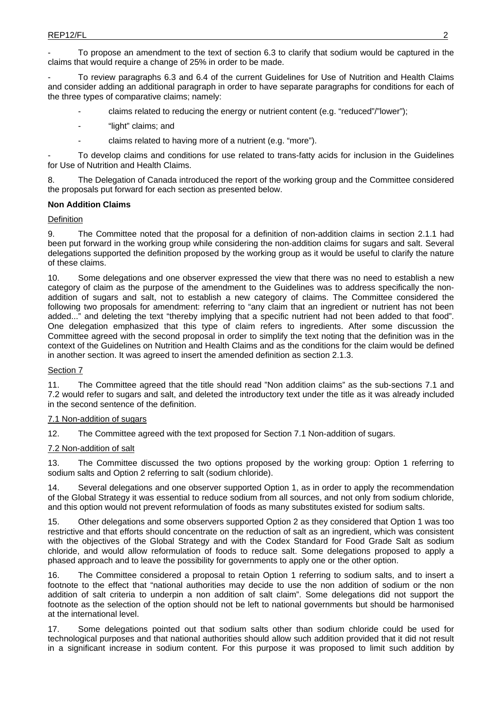To propose an amendment to the text of section 6.3 to clarify that sodium would be captured in the claims that would require a change of 25% in order to be made.

- To review paragraphs 6.3 and 6.4 of the current Guidelines for Use of Nutrition and Health Claims and consider adding an additional paragraph in order to have separate paragraphs for conditions for each of the three types of comparative claims; namely:

- claims related to reducing the energy or nutrient content (e.g. "reduced"/"lower");
- "light" claims; and
- claims related to having more of a nutrient (e.g. "more").

To develop claims and conditions for use related to trans-fatty acids for inclusion in the Guidelines for Use of Nutrition and Health Claims.

8. The Delegation of Canada introduced the report of the working group and the Committee considered the proposals put forward for each section as presented below.

### **Non Addition Claims**

### Definition

9. The Committee noted that the proposal for a definition of non-addition claims in section 2.1.1 had been put forward in the working group while considering the non-addition claims for sugars and salt. Several delegations supported the definition proposed by the working group as it would be useful to clarify the nature of these claims.

10. Some delegations and one observer expressed the view that there was no need to establish a new category of claim as the purpose of the amendment to the Guidelines was to address specifically the nonaddition of sugars and salt, not to establish a new category of claims. The Committee considered the following two proposals for amendment: referring to "any claim that an ingredient or nutrient has not been added..." and deleting the text "thereby implying that a specific nutrient had not been added to that food". One delegation emphasized that this type of claim refers to ingredients. After some discussion the Committee agreed with the second proposal in order to simplify the text noting that the definition was in the context of the Guidelines on Nutrition and Health Claims and as the conditions for the claim would be defined in another section. It was agreed to insert the amended definition as section 2.1.3.

### Section 7

11. The Committee agreed that the title should read "Non addition claims" as the sub-sections 7.1 and 7.2 would refer to sugars and salt, and deleted the introductory text under the title as it was already included in the second sentence of the definition.

### 7.1 Non-addition of sugars

12. The Committee agreed with the text proposed for Section 7.1 Non-addition of sugars.

### 7.2 Non-addition of salt

13. The Committee discussed the two options proposed by the working group: Option 1 referring to sodium salts and Option 2 referring to salt (sodium chloride).

14. Several delegations and one observer supported Option 1, as in order to apply the recommendation of the Global Strategy it was essential to reduce sodium from all sources, and not only from sodium chloride, and this option would not prevent reformulation of foods as many substitutes existed for sodium salts.

15. Other delegations and some observers supported Option 2 as they considered that Option 1 was too restrictive and that efforts should concentrate on the reduction of salt as an ingredient, which was consistent with the objectives of the Global Strategy and with the Codex Standard for Food Grade Salt as sodium chloride, and would allow reformulation of foods to reduce salt. Some delegations proposed to apply a phased approach and to leave the possibility for governments to apply one or the other option.

16. The Committee considered a proposal to retain Option 1 referring to sodium salts, and to insert a footnote to the effect that "national authorities may decide to use the non addition of sodium or the non addition of salt criteria to underpin a non addition of salt claim". Some delegations did not support the footnote as the selection of the option should not be left to national governments but should be harmonised at the international level.

17. Some delegations pointed out that sodium salts other than sodium chloride could be used for technological purposes and that national authorities should allow such addition provided that it did not result in a significant increase in sodium content. For this purpose it was proposed to limit such addition by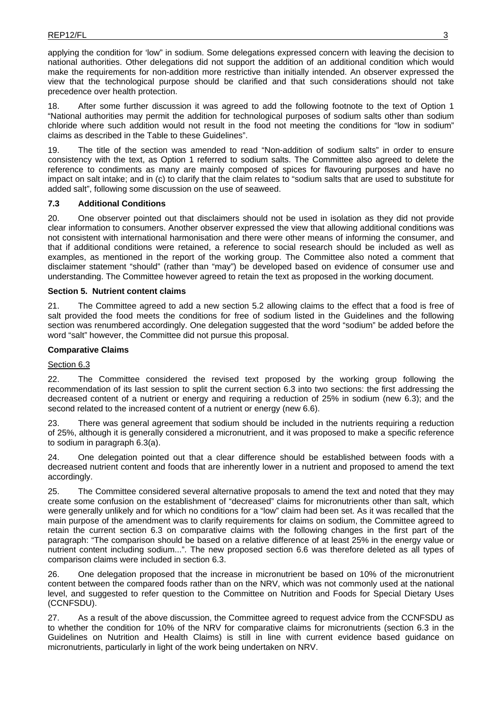applying the condition for 'low" in sodium. Some delegations expressed concern with leaving the decision to national authorities. Other delegations did not support the addition of an additional condition which would make the requirements for non-addition more restrictive than initially intended. An observer expressed the view that the technological purpose should be clarified and that such considerations should not take precedence over health protection.

18. After some further discussion it was agreed to add the following footnote to the text of Option 1 "National authorities may permit the addition for technological purposes of sodium salts other than sodium chloride where such addition would not result in the food not meeting the conditions for "low in sodium" claims as described in the Table to these Guidelines".

19. The title of the section was amended to read "Non-addition of sodium salts" in order to ensure consistency with the text, as Option 1 referred to sodium salts. The Committee also agreed to delete the reference to condiments as many are mainly composed of spices for flavouring purposes and have no impact on salt intake; and in (c) to clarify that the claim relates to "sodium salts that are used to substitute for added salt", following some discussion on the use of seaweed.

# **7.3 Additional Conditions**

20. One observer pointed out that disclaimers should not be used in isolation as they did not provide clear information to consumers. Another observer expressed the view that allowing additional conditions was not consistent with international harmonisation and there were other means of informing the consumer, and that if additional conditions were retained, a reference to social research should be included as well as examples, as mentioned in the report of the working group. The Committee also noted a comment that disclaimer statement "should" (rather than "may") be developed based on evidence of consumer use and understanding. The Committee however agreed to retain the text as proposed in the working document.

### **Section 5. Nutrient content claims**

21. The Committee agreed to add a new section 5.2 allowing claims to the effect that a food is free of salt provided the food meets the conditions for free of sodium listed in the Guidelines and the following section was renumbered accordingly. One delegation suggested that the word "sodium" be added before the word "salt" however, the Committee did not pursue this proposal.

# **Comparative Claims**

### Section 6.3

22. The Committee considered the revised text proposed by the working group following the recommendation of its last session to split the current section 6.3 into two sections: the first addressing the decreased content of a nutrient or energy and requiring a reduction of 25% in sodium (new 6.3); and the second related to the increased content of a nutrient or energy (new 6.6).

23. There was general agreement that sodium should be included in the nutrients requiring a reduction of 25%, although it is generally considered a micronutrient, and it was proposed to make a specific reference to sodium in paragraph 6.3(a).

24. One delegation pointed out that a clear difference should be established between foods with a decreased nutrient content and foods that are inherently lower in a nutrient and proposed to amend the text accordingly.

25. The Committee considered several alternative proposals to amend the text and noted that they may create some confusion on the establishment of "decreased" claims for micronutrients other than salt, which were generally unlikely and for which no conditions for a "low" claim had been set. As it was recalled that the main purpose of the amendment was to clarify requirements for claims on sodium, the Committee agreed to retain the current section 6.3 on comparative claims with the following changes in the first part of the paragraph: "The comparison should be based on a relative difference of at least 25% in the energy value or nutrient content including sodium...". The new proposed section 6.6 was therefore deleted as all types of comparison claims were included in section 6.3.

26. One delegation proposed that the increase in micronutrient be based on 10% of the micronutrient content between the compared foods rather than on the NRV, which was not commonly used at the national level, and suggested to refer question to the Committee on Nutrition and Foods for Special Dietary Uses (CCNFSDU).

27. As a result of the above discussion, the Committee agreed to request advice from the CCNFSDU as to whether the condition for 10% of the NRV for comparative claims for micronutrients (section 6.3 in the Guidelines on Nutrition and Health Claims) is still in line with current evidence based guidance on micronutrients, particularly in light of the work being undertaken on NRV.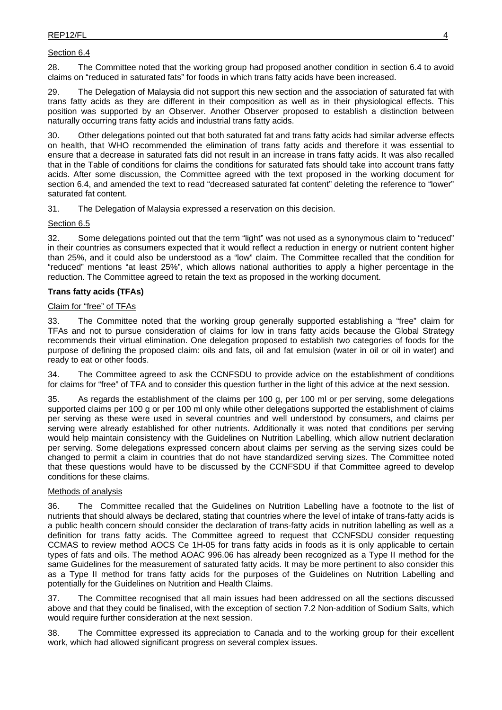# Section 6.4

28. The Committee noted that the working group had proposed another condition in section 6.4 to avoid claims on "reduced in saturated fats" for foods in which trans fatty acids have been increased.

29. The Delegation of Malaysia did not support this new section and the association of saturated fat with trans fatty acids as they are different in their composition as well as in their physiological effects. This position was supported by an Observer. Another Observer proposed to establish a distinction between naturally occurring trans fatty acids and industrial trans fatty acids.

30. Other delegations pointed out that both saturated fat and trans fatty acids had similar adverse effects on health, that WHO recommended the elimination of trans fatty acids and therefore it was essential to ensure that a decrease in saturated fats did not result in an increase in trans fatty acids. It was also recalled that in the Table of conditions for claims the conditions for saturated fats should take into account trans fatty acids. After some discussion, the Committee agreed with the text proposed in the working document for section 6.4, and amended the text to read "decreased saturated fat content" deleting the reference to "lower" saturated fat content.

31. The Delegation of Malaysia expressed a reservation on this decision.

# Section 6.5

32. Some delegations pointed out that the term "light" was not used as a synonymous claim to "reduced" in their countries as consumers expected that it would reflect a reduction in energy or nutrient content higher than 25%, and it could also be understood as a "low" claim. The Committee recalled that the condition for "reduced" mentions "at least 25%", which allows national authorities to apply a higher percentage in the reduction. The Committee agreed to retain the text as proposed in the working document.

# **Trans fatty acids (TFAs)**

### Claim for "free" of TFAs

33. The Committee noted that the working group generally supported establishing a "free" claim for TFAs and not to pursue consideration of claims for low in trans fatty acids because the Global Strategy recommends their virtual elimination. One delegation proposed to establish two categories of foods for the purpose of defining the proposed claim: oils and fats, oil and fat emulsion (water in oil or oil in water) and ready to eat or other foods.

34. The Committee agreed to ask the CCNFSDU to provide advice on the establishment of conditions for claims for "free" of TFA and to consider this question further in the light of this advice at the next session.

35. As regards the establishment of the claims per 100 g, per 100 ml or per serving, some delegations supported claims per 100 g or per 100 ml only while other delegations supported the establishment of claims per serving as these were used in several countries and well understood by consumers, and claims per serving were already established for other nutrients. Additionally it was noted that conditions per serving would help maintain consistency with the Guidelines on Nutrition Labelling, which allow nutrient declaration per serving. Some delegations expressed concern about claims per serving as the serving sizes could be changed to permit a claim in countries that do not have standardized serving sizes. The Committee noted that these questions would have to be discussed by the CCNFSDU if that Committee agreed to develop conditions for these claims.

### Methods of analysis

36. The Committee recalled that the Guidelines on Nutrition Labelling have a footnote to the list of nutrients that should always be declared, stating that countries where the level of intake of trans-fatty acids is a public health concern should consider the declaration of trans-fatty acids in nutrition labelling as well as a definition for trans fatty acids. The Committee agreed to request that CCNFSDU consider requesting CCMAS to review method AOCS Ce 1H-05 for trans fatty acids in foods as it is only applicable to certain types of fats and oils. The method AOAC 996.06 has already been recognized as a Type II method for the same Guidelines for the measurement of saturated fatty acids. It may be more pertinent to also consider this as a Type II method for trans fatty acids for the purposes of the Guidelines on Nutrition Labelling and potentially for the Guidelines on Nutrition and Health Claims.

37. The Committee recognised that all main issues had been addressed on all the sections discussed above and that they could be finalised, with the exception of section 7.2 Non-addition of Sodium Salts, which would require further consideration at the next session.

38. The Committee expressed its appreciation to Canada and to the working group for their excellent work, which had allowed significant progress on several complex issues.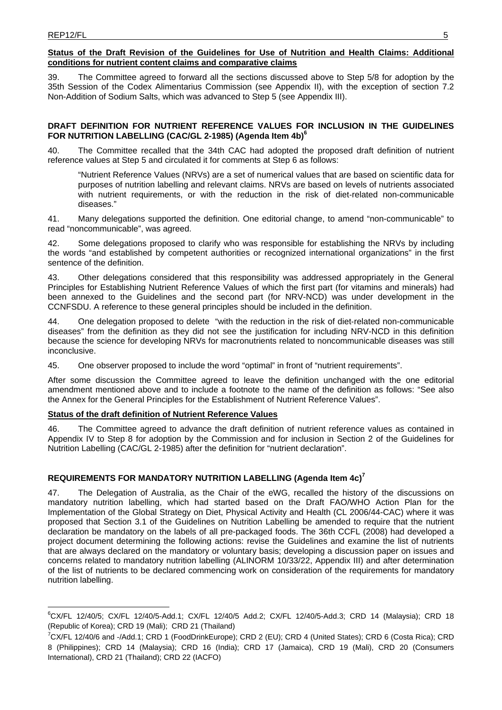$\overline{a}$ 

# **Status of the Draft Revision of the Guidelines for Use of Nutrition and Health Claims: Additional conditions for nutrient content claims and comparative claims**

39. The Committee agreed to forward all the sections discussed above to Step 5/8 for adoption by the 35th Session of the Codex Alimentarius Commission (see Appendix II), with the exception of section 7.2 Non-Addition of Sodium Salts, which was advanced to Step 5 (see Appendix III).

# **DRAFT DEFINITION FOR NUTRIENT REFERENCE VALUES FOR INCLUSION IN THE GUIDELINES FOR NUTRITION LABELLING (CAC/GL 2-1985) (Agenda Item 4b)6**

40. The Committee recalled that the 34th CAC had adopted the proposed draft definition of nutrient reference values at Step 5 and circulated it for comments at Step 6 as follows:

"Nutrient Reference Values (NRVs) are a set of numerical values that are based on scientific data for purposes of nutrition labelling and relevant claims. NRVs are based on levels of nutrients associated with nutrient requirements, or with the reduction in the risk of diet-related non-communicable diseases."

41. Many delegations supported the definition. One editorial change, to amend "non-communicable" to read "noncommunicable", was agreed.

42. Some delegations proposed to clarify who was responsible for establishing the NRVs by including the words "and established by competent authorities or recognized international organizations" in the first sentence of the definition.

43. Other delegations considered that this responsibility was addressed appropriately in the General Principles for Establishing Nutrient Reference Values of which the first part (for vitamins and minerals) had been annexed to the Guidelines and the second part (for NRV-NCD) was under development in the CCNFSDU. A reference to these general principles should be included in the definition.

44. One delegation proposed to delete "with the reduction in the risk of diet-related non-communicable diseases" from the definition as they did not see the justification for including NRV-NCD in this definition because the science for developing NRVs for macronutrients related to noncommunicable diseases was still inconclusive.

45. One observer proposed to include the word "optimal" in front of "nutrient requirements".

After some discussion the Committee agreed to leave the definition unchanged with the one editorial amendment mentioned above and to include a footnote to the name of the definition as follows: "See also the Annex for the General Principles for the Establishment of Nutrient Reference Values".

# **Status of the draft definition of Nutrient Reference Values**

46. The Committee agreed to advance the draft definition of nutrient reference values as contained in Appendix IV to Step 8 for adoption by the Commission and for inclusion in Section 2 of the Guidelines for Nutrition Labelling (CAC/GL 2-1985) after the definition for "nutrient declaration".

# **REQUIREMENTS FOR MANDATORY NUTRITION LABELLING (Agenda Item 4c)<sup>7</sup>**

47. The Delegation of Australia, as the Chair of the eWG, recalled the history of the discussions on mandatory nutrition labelling, which had started based on the Draft FAO/WHO Action Plan for the Implementation of the Global Strategy on Diet, Physical Activity and Health (CL 2006/44-CAC) where it was proposed that Section 3.1 of the Guidelines on Nutrition Labelling be amended to require that the nutrient declaration be mandatory on the labels of all pre-packaged foods. The 36th CCFL (2008) had developed a project document determining the following actions: revise the Guidelines and examine the list of nutrients that are always declared on the mandatory or voluntary basis; developing a discussion paper on issues and concerns related to mandatory nutrition labelling (ALINORM 10/33/22, Appendix III) and after determination of the list of nutrients to be declared commencing work on consideration of the requirements for mandatory nutrition labelling.

<sup>6</sup> CX/FL 12/40/5; CX/FL 12/40/5-Add.1; CX/FL 12/40/5 Add.2; CX/FL 12/40/5-Add.3; CRD 14 (Malaysia); CRD 18 (Republic of Korea); CRD 19 (Mali); CRD 21 (Thailand)

<sup>&</sup>lt;sup>7</sup>CX/FL 12/40/6 and -/Add.1; CRD 1 (FoodDrinkEurope); CRD 2 (EU); CRD 4 (United States); CRD 6 (Costa Rica); CRD 8 (Philippines); CRD 14 (Malaysia); CRD 16 (India); CRD 17 (Jamaica), CRD 19 (Mali), CRD 20 (Consumers International), CRD 21 (Thailand); CRD 22 (IACFO)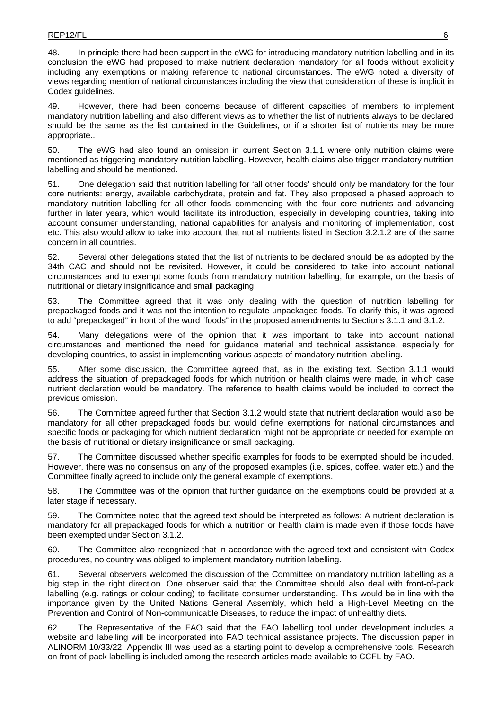48. In principle there had been support in the eWG for introducing mandatory nutrition labelling and in its conclusion the eWG had proposed to make nutrient declaration mandatory for all foods without explicitly including any exemptions or making reference to national circumstances. The eWG noted a diversity of views regarding mention of national circumstances including the view that consideration of these is implicit in Codex guidelines.

49. However, there had been concerns because of different capacities of members to implement mandatory nutrition labelling and also different views as to whether the list of nutrients always to be declared should be the same as the list contained in the Guidelines, or if a shorter list of nutrients may be more appropriate..

50. The eWG had also found an omission in current Section 3.1.1 where only nutrition claims were mentioned as triggering mandatory nutrition labelling. However, health claims also trigger mandatory nutrition labelling and should be mentioned.

51. One delegation said that nutrition labelling for 'all other foods' should only be mandatory for the four core nutrients: energy, available carbohydrate, protein and fat. They also proposed a phased approach to mandatory nutrition labelling for all other foods commencing with the four core nutrients and advancing further in later years, which would facilitate its introduction, especially in developing countries, taking into account consumer understanding, national capabilities for analysis and monitoring of implementation, cost etc. This also would allow to take into account that not all nutrients listed in Section 3.2.1.2 are of the same concern in all countries.

52. Several other delegations stated that the list of nutrients to be declared should be as adopted by the 34th CAC and should not be revisited. However, it could be considered to take into account national circumstances and to exempt some foods from mandatory nutrition labelling, for example, on the basis of nutritional or dietary insignificance and small packaging.

53. The Committee agreed that it was only dealing with the question of nutrition labelling for prepackaged foods and it was not the intention to regulate unpackaged foods. To clarify this, it was agreed to add "prepackaged" in front of the word "foods" in the proposed amendments to Sections 3.1.1 and 3.1.2.

54. Many delegations were of the opinion that it was important to take into account national circumstances and mentioned the need for guidance material and technical assistance, especially for developing countries, to assist in implementing various aspects of mandatory nutrition labelling.

55. After some discussion, the Committee agreed that, as in the existing text, Section 3.1.1 would address the situation of prepackaged foods for which nutrition or health claims were made, in which case nutrient declaration would be mandatory. The reference to health claims would be included to correct the previous omission.

56. The Committee agreed further that Section 3.1.2 would state that nutrient declaration would also be mandatory for all other prepackaged foods but would define exemptions for national circumstances and specific foods or packaging for which nutrient declaration might not be appropriate or needed for example on the basis of nutritional or dietary insignificance or small packaging.

57. The Committee discussed whether specific examples for foods to be exempted should be included. However, there was no consensus on any of the proposed examples (i.e. spices, coffee, water etc.) and the Committee finally agreed to include only the general example of exemptions.

58. The Committee was of the opinion that further guidance on the exemptions could be provided at a later stage if necessary.

59. The Committee noted that the agreed text should be interpreted as follows: A nutrient declaration is mandatory for all prepackaged foods for which a nutrition or health claim is made even if those foods have been exempted under Section 3.1.2.

60. The Committee also recognized that in accordance with the agreed text and consistent with Codex procedures, no country was obliged to implement mandatory nutrition labelling.

61. Several observers welcomed the discussion of the Committee on mandatory nutrition labelling as a big step in the right direction. One observer said that the Committee should also deal with front-of-pack labelling (e.g. ratings or colour coding) to facilitate consumer understanding. This would be in line with the importance given by the United Nations General Assembly, which held a High-Level Meeting on the Prevention and Control of Non-communicable Diseases, to reduce the impact of unhealthy diets.

62. The Representative of the FAO said that the FAO labelling tool under development includes a website and labelling will be incorporated into FAO technical assistance projects. The discussion paper in ALINORM 10/33/22, Appendix III was used as a starting point to develop a comprehensive tools. Research on front-of-pack labelling is included among the research articles made available to CCFL by FAO.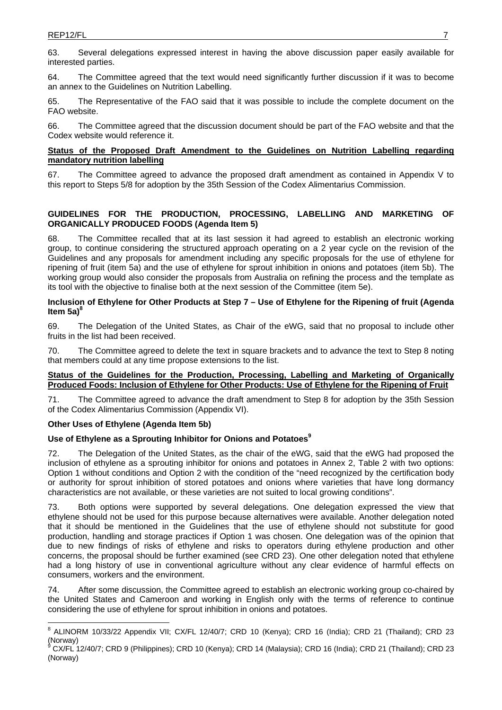63. Several delegations expressed interest in having the above discussion paper easily available for interested parties.

64. The Committee agreed that the text would need significantly further discussion if it was to become an annex to the Guidelines on Nutrition Labelling.

65. The Representative of the FAO said that it was possible to include the complete document on the FAO website.

66. The Committee agreed that the discussion document should be part of the FAO website and that the Codex website would reference it.

### **Status of the Proposed Draft Amendment to the Guidelines on Nutrition Labelling regarding mandatory nutrition labelling**

67. The Committee agreed to advance the proposed draft amendment as contained in Appendix V to this report to Steps 5/8 for adoption by the 35th Session of the Codex Alimentarius Commission.

# **GUIDELINES FOR THE PRODUCTION, PROCESSING, LABELLING AND MARKETING OF ORGANICALLY PRODUCED FOODS (Agenda Item 5)**

68. The Committee recalled that at its last session it had agreed to establish an electronic working group, to continue considering the structured approach operating on a 2 year cycle on the revision of the Guidelines and any proposals for amendment including any specific proposals for the use of ethylene for ripening of fruit (item 5a) and the use of ethylene for sprout inhibition in onions and potatoes (item 5b). The working group would also consider the proposals from Australia on refining the process and the template as its tool with the objective to finalise both at the next session of the Committee (item 5e).

### **Inclusion of Ethylene for Other Products at Step 7 – Use of Ethylene for the Ripening of fruit (Agenda**  ltem 5a)<sup>8</sup>

69. The Delegation of the United States, as Chair of the eWG, said that no proposal to include other fruits in the list had been received.

70. The Committee agreed to delete the text in square brackets and to advance the text to Step 8 noting that members could at any time propose extensions to the list.

# **Status of the Guidelines for the Production, Processing, Labelling and Marketing of Organically Produced Foods: Inclusion of Ethylene for Other Products: Use of Ethylene for the Ripening of Fruit**

71. The Committee agreed to advance the draft amendment to Step 8 for adoption by the 35th Session of the Codex Alimentarius Commission (Appendix VI).

# **Other Uses of Ethylene (Agenda Item 5b)**

# Use of Ethylene as a Sprouting Inhibitor for Onions and Potatoes<sup>9</sup>

72. The Delegation of the United States, as the chair of the eWG, said that the eWG had proposed the inclusion of ethylene as a sprouting inhibitor for onions and potatoes in Annex 2, Table 2 with two options: Option 1 without conditions and Option 2 with the condition of the "need recognized by the certification body or authority for sprout inhibition of stored potatoes and onions where varieties that have long dormancy characteristics are not available, or these varieties are not suited to local growing conditions".

73. Both options were supported by several delegations. One delegation expressed the view that ethylene should not be used for this purpose because alternatives were available. Another delegation noted that it should be mentioned in the Guidelines that the use of ethylene should not substitute for good production, handling and storage practices if Option 1 was chosen. One delegation was of the opinion that due to new findings of risks of ethylene and risks to operators during ethylene production and other concerns, the proposal should be further examined (see CRD 23). One other delegation noted that ethylene had a long history of use in conventional agriculture without any clear evidence of harmful effects on consumers, workers and the environment.

74. After some discussion, the Committee agreed to establish an electronic working group co-chaired by the United States and Cameroon and working in English only with the terms of reference to continue considering the use of ethylene for sprout inhibition in onions and potatoes.

 $\overline{a}$ <sup>8</sup> ALINORM 10/33/22 Appendix VII; CX/FL 12/40/7; CRD 10 (Kenya); CRD 16 (India); CRD 21 (Thailand); CRD 23 (Norway) 9

CX/FL 12/40/7; CRD 9 (Philippines); CRD 10 (Kenya); CRD 14 (Malaysia); CRD 16 (India); CRD 21 (Thailand); CRD 23 (Norway)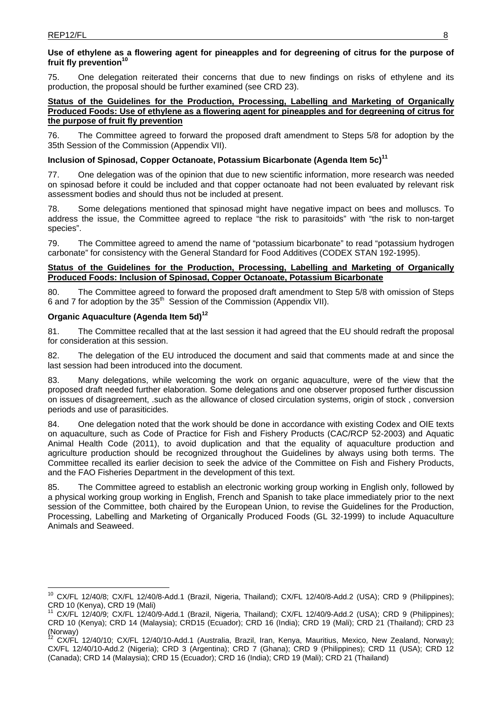# **Use of ethylene as a flowering agent for pineapples and for degreening of citrus for the purpose of**  fruit fly prevention<sup>10</sup>

75. One delegation reiterated their concerns that due to new findings on risks of ethylene and its production, the proposal should be further examined (see CRD 23).

# **Status of the Guidelines for the Production, Processing, Labelling and Marketing of Organically Produced Foods: Use of ethylene as a flowering agent for pineapples and for degreening of citrus for the purpose of fruit fly prevention**

76. The Committee agreed to forward the proposed draft amendment to Steps 5/8 for adoption by the 35th Session of the Commission (Appendix VII).

# **Inclusion of Spinosad, Copper Octanoate, Potassium Bicarbonate (Agenda Item 5c)11**

77. One delegation was of the opinion that due to new scientific information, more research was needed on spinosad before it could be included and that copper octanoate had not been evaluated by relevant risk assessment bodies and should thus not be included at present.

78. Some delegations mentioned that spinosad might have negative impact on bees and molluscs. To address the issue, the Committee agreed to replace "the risk to parasitoids" with "the risk to non-target species".

79. The Committee agreed to amend the name of "potassium bicarbonate" to read "potassium hydrogen carbonate" for consistency with the General Standard for Food Additives (CODEX STAN 192-1995).

# **Status of the Guidelines for the Production, Processing, Labelling and Marketing of Organically Produced Foods: Inclusion of Spinosad, Copper Octanoate, Potassium Bicarbonate**

80. The Committee agreed to forward the proposed draft amendment to Step 5/8 with omission of Steps 6 and 7 for adoption by the 35<sup>th</sup> Session of the Commission (Appendix VII).

# **Organic Aquaculture (Agenda Item 5d)12**

81. The Committee recalled that at the last session it had agreed that the EU should redraft the proposal for consideration at this session.

82. The delegation of the EU introduced the document and said that comments made at and since the last session had been introduced into the document.

83. Many delegations, while welcoming the work on organic aquaculture, were of the view that the proposed draft needed further elaboration. Some delegations and one observer proposed further discussion on issues of disagreement, .such as the allowance of closed circulation systems, origin of stock , conversion periods and use of parasiticides.

84. One delegation noted that the work should be done in accordance with existing Codex and OIE texts on aquaculture, such as Code of Practice for Fish and Fishery Products (CAC/RCP 52-2003) and Aquatic Animal Health Code (2011), to avoid duplication and that the equality of aquaculture production and agriculture production should be recognized throughout the Guidelines by always using both terms. The Committee recalled its earlier decision to seek the advice of the Committee on Fish and Fishery Products, and the FAO Fisheries Department in the development of this text.

85. The Committee agreed to establish an electronic working group working in English only, followed by a physical working group working in English, French and Spanish to take place immediately prior to the next session of the Committee, both chaired by the European Union, to revise the Guidelines for the Production, Processing, Labelling and Marketing of Organically Produced Foods (GL 32-1999) to include Aquaculture Animals and Seaweed.

 $\overline{a}$ <sup>10</sup> CX/FL 12/40/8; CX/FL 12/40/8-Add.1 (Brazil, Nigeria, Thailand); CX/FL 12/40/8-Add.2 (USA); CRD 9 (Philippines); CRD 10 (Kenya), CRD 19 (Mali)

<sup>11</sup> CX/FL 12/40/9; CX/FL 12/40/9-Add.1 (Brazil, Nigeria, Thailand); CX/FL 12/40/9-Add.2 (USA); CRD 9 (Philippines); CRD 10 (Kenya); CRD 14 (Malaysia); CRD15 (Ecuador); CRD 16 (India); CRD 19 (Mali); CRD 21 (Thailand); CRD 23  $(Norway)$ 

<sup>12</sup> CX/FL 12/40/10; CX/FL 12/40/10-Add.1 (Australia, Brazil, Iran, Kenya, Mauritius, Mexico, New Zealand, Norway); CX/FL 12/40/10-Add.2 (Nigeria); CRD 3 (Argentina); CRD 7 (Ghana); CRD 9 (Philippines); CRD 11 (USA); CRD 12 (Canada); CRD 14 (Malaysia); CRD 15 (Ecuador); CRD 16 (India); CRD 19 (Mali); CRD 21 (Thailand)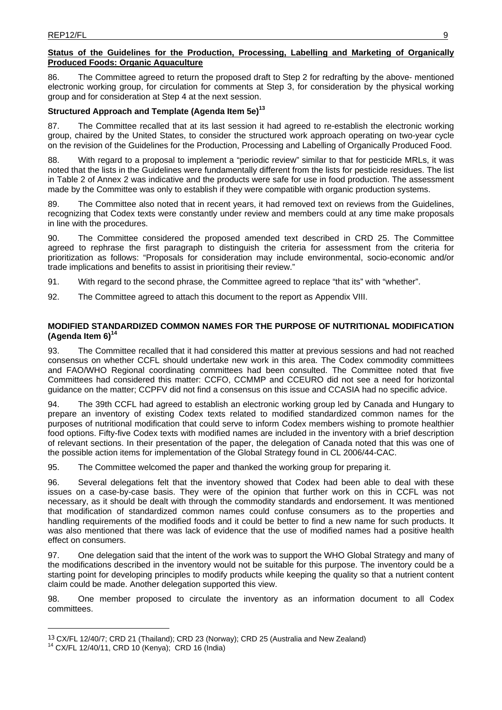# **Status of the Guidelines for the Production, Processing, Labelling and Marketing of Organically Produced Foods: Organic Aquaculture**

86. The Committee agreed to return the proposed draft to Step 2 for redrafting by the above- mentioned electronic working group, for circulation for comments at Step 3, for consideration by the physical working group and for consideration at Step 4 at the next session.

# **Structured Approach and Template (Agenda Item 5e)13**

87. The Committee recalled that at its last session it had agreed to re-establish the electronic working group, chaired by the United States, to consider the structured work approach operating on two-year cycle on the revision of the Guidelines for the Production, Processing and Labelling of Organically Produced Food.

88. With regard to a proposal to implement a "periodic review" similar to that for pesticide MRLs, it was noted that the lists in the Guidelines were fundamentally different from the lists for pesticide residues. The list in Table 2 of Annex 2 was indicative and the products were safe for use in food production. The assessment made by the Committee was only to establish if they were compatible with organic production systems.

89. The Committee also noted that in recent years, it had removed text on reviews from the Guidelines, recognizing that Codex texts were constantly under review and members could at any time make proposals in line with the procedures.

90. The Committee considered the proposed amended text described in CRD 25. The Committee agreed to rephrase the first paragraph to distinguish the criteria for assessment from the criteria for prioritization as follows: "Proposals for consideration may include environmental, socio-economic and/or trade implications and benefits to assist in prioritising their review."

91. With regard to the second phrase, the Committee agreed to replace "that its" with "whether".

92. The Committee agreed to attach this document to the report as Appendix VIII.

# **MODIFIED STANDARDIZED COMMON NAMES FOR THE PURPOSE OF NUTRITIONAL MODIFICATION (Agenda Item 6)14**

93. The Committee recalled that it had considered this matter at previous sessions and had not reached consensus on whether CCFL should undertake new work in this area. The Codex commodity committees and FAO/WHO Regional coordinating committees had been consulted. The Committee noted that five Committees had considered this matter: CCFO, CCMMP and CCEURO did not see a need for horizontal guidance on the matter; CCPFV did not find a consensus on this issue and CCASIA had no specific advice.

94. The 39th CCFL had agreed to establish an electronic working group led by Canada and Hungary to prepare an inventory of existing Codex texts related to modified standardized common names for the purposes of nutritional modification that could serve to inform Codex members wishing to promote healthier food options. Fifty-five Codex texts with modified names are included in the inventory with a brief description of relevant sections. In their presentation of the paper, the delegation of Canada noted that this was one of the possible action items for implementation of the Global Strategy found in CL 2006/44-CAC.

95. The Committee welcomed the paper and thanked the working group for preparing it.

96. Several delegations felt that the inventory showed that Codex had been able to deal with these issues on a case-by-case basis. They were of the opinion that further work on this in CCFL was not necessary, as it should be dealt with through the commodity standards and endorsement. It was mentioned that modification of standardized common names could confuse consumers as to the properties and handling requirements of the modified foods and it could be better to find a new name for such products. It was also mentioned that there was lack of evidence that the use of modified names had a positive health effect on consumers.

97. One delegation said that the intent of the work was to support the WHO Global Strategy and many of the modifications described in the inventory would not be suitable for this purpose. The inventory could be a starting point for developing principles to modify products while keeping the quality so that a nutrient content claim could be made. Another delegation supported this view.

98. One member proposed to circulate the inventory as an information document to all Codex committees.

 $\overline{a}$ 

<sup>&</sup>lt;sup>13</sup> CX/FL 12/40/7; CRD 21 (Thailand); CRD 23 (Norway); CRD 25 (Australia and New Zealand) <sup>14</sup> CX/FL 12/40/11, CRD 10 (Kenya); CRD 16 (India)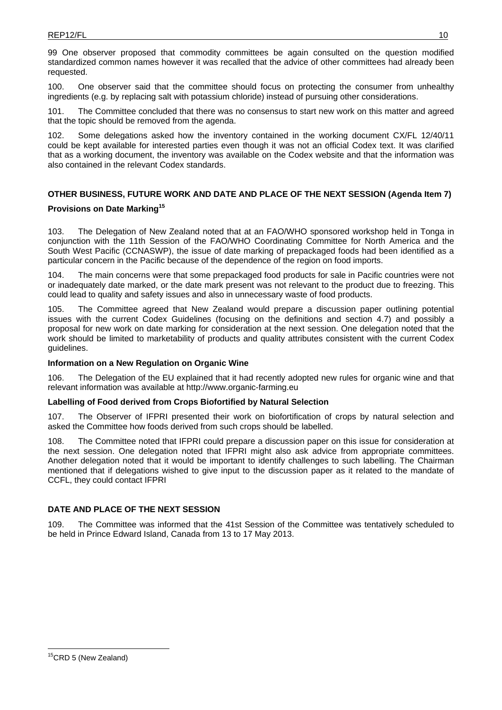99 One observer proposed that commodity committees be again consulted on the question modified standardized common names however it was recalled that the advice of other committees had already been requested.

100. One observer said that the committee should focus on protecting the consumer from unhealthy ingredients (e.g. by replacing salt with potassium chloride) instead of pursuing other considerations.

101. The Committee concluded that there was no consensus to start new work on this matter and agreed that the topic should be removed from the agenda.

102. Some delegations asked how the inventory contained in the working document CX/FL 12/40/11 could be kept available for interested parties even though it was not an official Codex text. It was clarified that as a working document, the inventory was available on the Codex website and that the information was also contained in the relevant Codex standards.

# **OTHER BUSINESS, FUTURE WORK AND DATE AND PLACE OF THE NEXT SESSION (Agenda Item 7)**

# **Provisions on Date Marking<sup>15</sup>**

103. The Delegation of New Zealand noted that at an FAO/WHO sponsored workshop held in Tonga in conjunction with the 11th Session of the FAO/WHO Coordinating Committee for North America and the South West Pacific (CCNASWP), the issue of date marking of prepackaged foods had been identified as a particular concern in the Pacific because of the dependence of the region on food imports.

104. The main concerns were that some prepackaged food products for sale in Pacific countries were not or inadequately date marked, or the date mark present was not relevant to the product due to freezing. This could lead to quality and safety issues and also in unnecessary waste of food products.

105. The Committee agreed that New Zealand would prepare a discussion paper outlining potential issues with the current Codex Guidelines (focusing on the definitions and section 4.7) and possibly a proposal for new work on date marking for consideration at the next session. One delegation noted that the work should be limited to marketability of products and quality attributes consistent with the current Codex guidelines.

# **Information on a New Regulation on Organic Wine**

106. The Delegation of the EU explained that it had recently adopted new rules for organic wine and that relevant information was available at http://www.organic-farming.eu

# **Labelling of Food derived from Crops Biofortified by Natural Selection**

107. The Observer of IFPRI presented their work on biofortification of crops by natural selection and asked the Committee how foods derived from such crops should be labelled.

108. The Committee noted that IFPRI could prepare a discussion paper on this issue for consideration at the next session. One delegation noted that IFPRI might also ask advice from appropriate committees. Another delegation noted that it would be important to identify challenges to such labelling. The Chairman mentioned that if delegations wished to give input to the discussion paper as it related to the mandate of CCFL, they could contact IFPRI

# **DATE AND PLACE OF THE NEXT SESSION**

109. The Committee was informed that the 41st Session of the Committee was tentatively scheduled to be held in Prince Edward Island, Canada from 13 to 17 May 2013.

 $\overline{1}$ 

<sup>&</sup>lt;sup>15</sup>CRD 5 (New Zealand)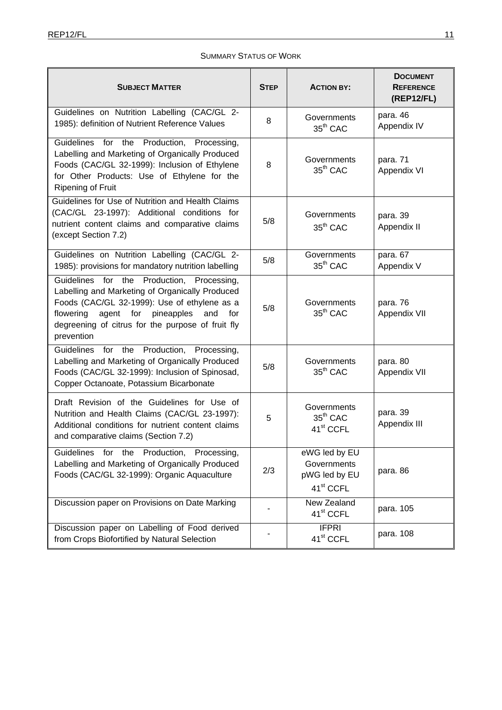# SUMMARY STATUS OF WORK

| <b>SUBJECT MATTER</b>                                                                                                                                                                                                                                                     | <b>STEP</b> | <b>ACTION BY:</b>                                                      | <b>DOCUMENT</b><br><b>REFERENCE</b><br>(REP12/FL) |
|---------------------------------------------------------------------------------------------------------------------------------------------------------------------------------------------------------------------------------------------------------------------------|-------------|------------------------------------------------------------------------|---------------------------------------------------|
| Guidelines on Nutrition Labelling (CAC/GL 2-<br>1985): definition of Nutrient Reference Values                                                                                                                                                                            | 8           | Governments<br>$35th$ CAC                                              | para. 46<br>Appendix IV                           |
| Guidelines for the Production, Processing,<br>Labelling and Marketing of Organically Produced<br>Foods (CAC/GL 32-1999): Inclusion of Ethylene<br>for Other Products: Use of Ethylene for the<br><b>Ripening of Fruit</b>                                                 | 8           | Governments<br>35 <sup>th</sup> CAC                                    | para. 71<br>Appendix VI                           |
| Guidelines for Use of Nutrition and Health Claims<br>(CAC/GL 23-1997): Additional conditions for<br>nutrient content claims and comparative claims<br>(except Section 7.2)                                                                                                | 5/8         | Governments<br>35 <sup>th</sup> CAC                                    | para. 39<br>Appendix II                           |
| Guidelines on Nutrition Labelling (CAC/GL 2-<br>1985): provisions for mandatory nutrition labelling                                                                                                                                                                       | 5/8         | Governments<br>$35th$ CAC                                              | para. 67<br>Appendix V                            |
| Production,<br>Guidelines for the<br>Processing,<br>Labelling and Marketing of Organically Produced<br>Foods (CAC/GL 32-1999): Use of ethylene as a<br>agent for pineapples<br>flowering<br>for<br>and<br>degreening of citrus for the purpose of fruit fly<br>prevention | 5/8         | Governments<br>$35th$ CAC                                              | para. 76<br>Appendix VII                          |
| Production,<br>Guidelines<br>for<br>the<br>Processing,<br>Labelling and Marketing of Organically Produced<br>Foods (CAC/GL 32-1999): Inclusion of Spinosad,<br>Copper Octanoate, Potassium Bicarbonate                                                                    | 5/8         | Governments<br>$35th$ CAC                                              | para. 80<br>Appendix VII                          |
| Draft Revision of the Guidelines for Use of<br>Nutrition and Health Claims (CAC/GL 23-1997):<br>Additional conditions for nutrient content claims<br>and comparative claims (Section 7.2)                                                                                 | 5           | Governments<br>$35th$ CAC<br>41 <sup>st</sup> CCFL                     | para. 39<br>Appendix III                          |
| Guidelines for the Production, Processing,<br>Labelling and Marketing of Organically Produced<br>Foods (CAC/GL 32-1999): Organic Aquaculture                                                                                                                              | 2/3         | eWG led by EU<br>Governments<br>pWG led by EU<br>41 <sup>st</sup> CCFL | para. 86                                          |
| Discussion paper on Provisions on Date Marking                                                                                                                                                                                                                            |             | New Zealand<br>41 <sup>st</sup> CCFL                                   | para. 105                                         |
| Discussion paper on Labelling of Food derived<br>from Crops Biofortified by Natural Selection                                                                                                                                                                             |             | <b>IFPRI</b><br>41 <sup>st</sup> CCFL                                  | para. 108                                         |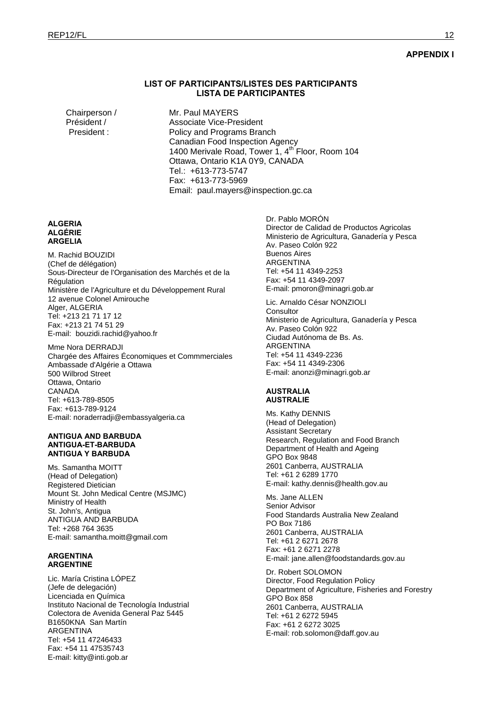### **APPENDIX I**

### **LIST OF PARTICIPANTS/LISTES DES PARTICIPANTS LISTA DE PARTICIPANTES**

Chairperson / Mr. Paul MAYERS Président / Associate Vice-President President : Policy and Programs Branch Canadian Food Inspection Agency 1400 Merivale Road, Tower 1,  $4<sup>th</sup>$  Floor, Room 104 Ottawa, Ontario K1A 0Y9, CANADA Tel.: +613-773-5747 Fax: +613-773-5969 Email: paul.mayers@inspection.gc.ca

#### **ALGERIA ALGÉRIE ARGELIA**

M. Rachid BOUZIDI (Chef de délégation) Sous-Directeur de l'Organisation des Marchés et de la **Régulation** Ministère de l'Agriculture et du Développement Rural 12 avenue Colonel Amirouche Alger, ALGERIA Tel: +213 21 71 17 12 Fax: +213 21 74 51 29 E-mail: bouzidi.rachid@yahoo.fr

Mme Nora DERRADJI Chargée des Affaires Économiques et Commmerciales Ambassade d'Algérie a Ottawa 500 Wilbrod Street Ottawa, Ontario CANADA Tel: +613-789-8505 Fax: +613-789-9124 E-mail: noraderradji@embassyalgeria.ca

#### **ANTIGUA AND BARBUDA ANTIGUA-ET-BARBUDA ANTIGUA Y BARBUDA**

Ms. Samantha MOITT (Head of Delegation) Registered Dietician Mount St. John Medical Centre (MSJMC) Ministry of Health St. John's, Antigua ANTIGUA AND BARBUDA Tel: +268 764 3635 E-mail: samantha.moitt@gmail.com

#### **ARGENTINA ARGENTINE**

Lic. María Cristina LÓPEZ (Jefe de delegación) Licenciada en Química Instituto Nacional de Tecnología Industrial Colectora de Avenida General Paz 5445 B1650KNA San Martín ARGENTINA Tel: +54 11 47246433 Fax: +54 11 47535743 E-mail: kitty@inti.gob.ar

Dr. Pablo MORÓN Director de Calidad de Productos Agricolas Ministerio de Agricultura, Ganadería y Pesca Av. Paseo Colón 922 Buenos Aires ARGENTINA Tel: +54 11 4349-2253 Fax: +54 11 4349-2097 E-mail: pmoron@minagri.gob.ar

Lic. Arnaldo César NONZIOLI **Consultor** Ministerio de Agricultura, Ganadería y Pesca Av. Paseo Colón 922 Ciudad Autónoma de Bs. As. ARGENTINA Tel: +54 11 4349-2236 Fax: +54 11 4349-2306 E-mail: anonzi@minagri.gob.ar

#### **AUSTRALIA AUSTRALIE**

Ms. Kathy DENNIS (Head of Delegation) Assistant Secretary Research, Regulation and Food Branch Department of Health and Ageing GPO Box 9848 2601 Canberra, AUSTRALIA Tel: +61 2 6289 1770 E-mail: kathy.dennis@health.gov.au

Ms. Jane ALLEN Senior Advisor Food Standards Australia New Zealand PO Box 7186 2601 Canberra, AUSTRALIA Tel: +61 2 6271 2678 Fax: +61 2 6271 2278 E-mail: jane.allen@foodstandards.gov.au

Dr. Robert SOLOMON Director, Food Regulation Policy Department of Agriculture, Fisheries and Forestry GPO Box 858 2601 Canberra, AUSTRALIA Tel: +61 2 6272 5945 Fax: +61 2 6272 3025 E-mail: rob.solomon@daff.gov.au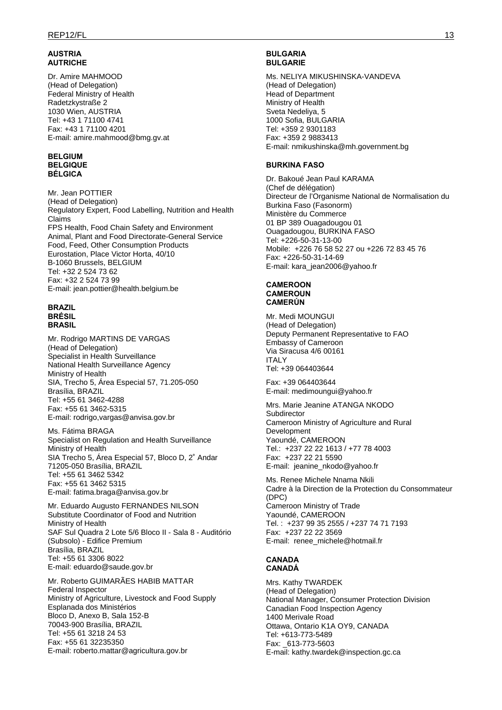### **AUSTRIA AUTRICHE**

Dr. Amire MAHMOOD (Head of Delegation) Federal Ministry of Health Radetzkystraße 2 1030 Wien, AUSTRIA Tel: +43 1 71100 4741 Fax: +43 1 71100 4201 E-mail: amire.mahmood@bmg.gv.at

#### **BELGIUM BELGIQUE BÉLGICA**

Mr. Jean POTTIER (Head of Delegation) Regulatory Expert, Food Labelling, Nutrition and Health Claims FPS Health, Food Chain Safety and Environment Animal, Plant and Food Directorate-General Service Food, Feed, Other Consumption Products Eurostation, Place Victor Horta, 40/10 B-1060 Brussels, BELGIUM Tel: +32 2 524 73 62 Fax: +32 2 524 73 99 E-mail: jean.pottier@health.belgium.be

#### **BRAZIL BRÉSIL BRASIL**

Mr. Rodrigo MARTINS DE VARGAS (Head of Delegation) Specialist in Health Surveillance National Health Surveillance Agency Ministry of Health SIA, Trecho 5, Área Especial 57, 71.205-050 Brasília, BRAZIL Tel: +55 61 3462-4288 Fax: +55 61 3462-5315 E-mail: rodrigo,vargas@anvisa.gov.br

Ms. Fátima BRAGA Specialist on Regulation and Health Surveillance Ministry of Health SIA Trecho 5, Área Especial 57, Bloco D, 2˚ Andar 71205-050 Brasília, BRAZIL Tel: +55 61 3462 5342 Fax: +55 61 3462 5315 E-mail: fatima.braga@anvisa.gov.br

Mr. Eduardo Augusto FERNANDES NILSON Substitute Coordinator of Food and Nutrition Ministry of Health SAF Sul Quadra 2 Lote 5/6 Bloco II - Sala 8 - Auditório (Subsolo) - Edifice Premium Brasília, BRAZIL Tel: +55 61 3306 8022 E-mail: eduardo@saude.gov.br

Mr. Roberto GUIMARÃES HABIB MATTAR Federal Inspector Ministry of Agriculture, Livestock and Food Supply Esplanada dos Ministérios Bloco D, Anexo B, Sala 152-B 70043-900 Brasília, BRAZIL Tel: +55 61 3218 24 53 Fax: +55 61 32235350 E-mail: roberto.mattar@agricultura.gov.br

### **BULGARIA BULGARIE**

Ms. NELIYA MIKUSHINSKA-VANDEVA (Head of Delegation) Head of Department Ministry of Health Sveta Nedeliya, 5 1000 Sofia, BULGARIA Tel: +359 2 9301183 Fax: +359 2 9883413 E-mail: nmikushinska@mh.government.bg

# **BURKINA FASO**

Dr. Bakoué Jean Paul KARAMA (Chef de délégation) Directeur de l'Organisme National de Normalisation du Burkina Faso (Fasonorm) Ministère du Commerce 01 BP 389 Ouagadougou 01 Ouagadougou, BURKINA FASO Tel: +226-50-31-13-00 Mobile: +226 76 58 52 27 ou +226 72 83 45 76 Fax: +226-50-31-14-69 E-mail: kara\_jean2006@yahoo.fr

### **CAMEROON CAMEROUN CAMERÚN**

Mr. Medi MOUNGUI (Head of Delegation) Deputy Permanent Representative to FAO Embassy of Cameroon Via Siracusa 4/6 00161 ITALY Tel: +39 064403644

Fax: +39 064403644 E-mail: medimoungui@yahoo.fr

Mrs. Marie Jeanine ATANGA NKODO **Subdirector** Cameroon Ministry of Agriculture and Rural Development Yaoundé, CAMEROON Tel.: +237 22 22 1613 / +77 78 4003 Fax: +237 22 21 5590 E-mail: jeanine\_nkodo@yahoo.fr

Ms. Renee Michele Nnama Nkili Cadre à la Direction de la Protection du Consommateur (DPC) Cameroon Ministry of Trade Yaoundé, CAMEROON Tel. : +237 99 35 2555 / +237 74 71 7193 Fax: +237 22 22 3569 E-mail: renee\_michele@hotmail.fr

# **CANADA CANADÁ**

Mrs. Kathy TWARDEK (Head of Delegation) National Manager, Consumer Protection Division Canadian Food Inspection Agency 1400 Merivale Road Ottawa, Ontario K1A OY9, CANADA Tel: +613-773-5489 Fax: \_613-773-5603 E-mail: kathy.twardek@inspection.gc.ca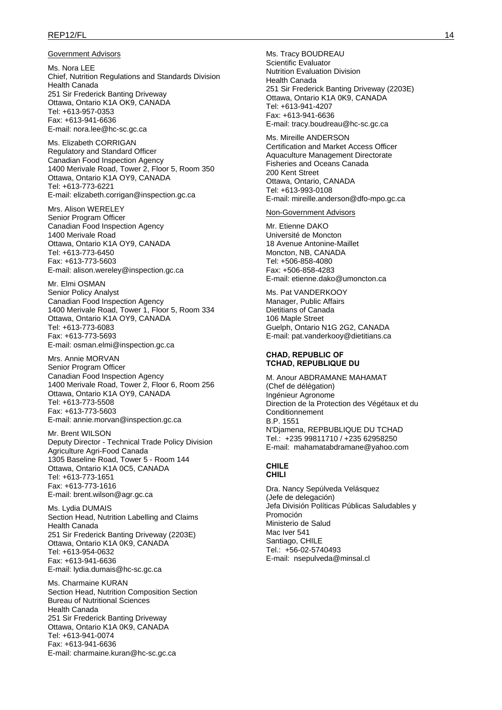#### REP12/FL 14

#### Government Advisors

Ms. Nora LEE Chief, Nutrition Regulations and Standards Division Health Canada 251 Sir Frederick Banting Driveway Ottawa, Ontario K1A OK9, CANADA Tel: +613-957-0353 Fax: +613-941-6636 E-mail: nora.lee@hc-sc.gc.ca

Ms. Elizabeth CORRIGAN Regulatory and Standard Officer Canadian Food Inspection Agency 1400 Merivale Road, Tower 2, Floor 5, Room 350 Ottawa, Ontario K1A OY9, CANADA Tel: +613-773-6221 E-mail: elizabeth.corrigan@inspection.gc.ca

Mrs. Alison WERELEY Senior Program Officer Canadian Food Inspection Agency 1400 Merivale Road Ottawa, Ontario K1A OY9, CANADA Tel: +613-773-6450 Fax: +613-773-5603 E-mail: alison.wereley@inspection.gc.ca

Mr. Elmi OSMAN Senior Policy Analyst Canadian Food Inspection Agency 1400 Merivale Road, Tower 1, Floor 5, Room 334 Ottawa, Ontario K1A OY9, CANADA Tel: +613-773-6083 Fax: +613-773-5693 E-mail: osman.elmi@inspection.gc.ca

Mrs. Annie MORVAN Senior Program Officer Canadian Food Inspection Agency 1400 Merivale Road, Tower 2, Floor 6, Room 256 Ottawa, Ontario K1A OY9, CANADA Tel: +613-773-5508 Fax: +613-773-5603 E-mail: annie.morvan@inspection.gc.ca

Mr. Brent WILSON Deputy Director - Technical Trade Policy Division Agriculture Agri-Food Canada 1305 Baseline Road, Tower 5 - Room 144 Ottawa, Ontario K1A 0C5, CANADA Tel: +613-773-1651 Fax: +613-773-1616 E-mail: brent.wilson@agr.gc.ca

Ms. Lydia DUMAIS Section Head, Nutrition Labelling and Claims Health Canada 251 Sir Frederick Banting Driveway (2203E) Ottawa, Ontario K1A 0K9, CANADA Tel: +613-954-0632 Fax: +613-941-6636 E-mail: lydia.dumais@hc-sc.gc.ca

Ms. Charmaine KURAN Section Head, Nutrition Composition Section Bureau of Nutritional Sciences Health Canada 251 Sir Frederick Banting Driveway Ottawa, Ontario K1A 0K9, CANADA Tel: +613-941-0074 Fax: +613-941-6636 E-mail: charmaine.kuran@hc-sc.gc.ca

Ms. Tracy BOUDREAU Scientific Evaluator Nutrition Evaluation Division Health Canada 251 Sir Frederick Banting Driveway (2203E) Ottawa, Ontario K1A 0K9, CANADA Tel: +613-941-4207 Fax: +613-941-6636 E-mail: tracy.boudreau@hc-sc.gc.ca

Ms. Mireille ANDERSON Certification and Market Access Officer Aquaculture Management Directorate Fisheries and Oceans Canada 200 Kent Street Ottawa, Ontario, CANADA Tel: +613-993-0108 E-mail: mireille.anderson@dfo-mpo.gc.ca

#### Non-Government Advisors

Mr. Etienne DAKO Université de Moncton 18 Avenue Antonine-Maillet Moncton, NB, CANADA Tel: +506-858-4080 Fax: +506-858-4283 E-mail: etienne.dako@umoncton.ca

Ms. Pat VANDERKOOY Manager, Public Affairs Dietitians of Canada 106 Maple Street Guelph, Ontario N1G 2G2, CANADA E-mail: pat.vanderkooy@dietitians.ca

#### **CHAD, REPUBLIC OF TCHAD, REPUBLIQUE DU**

M. Anour ABDRAMANE MAHAMAT (Chef de délégation) Ingénieur Agronome Direction de la Protection des Végétaux et du Conditionnement B.P. 1551 N'Djamena, REPBUBLIQUE DU TCHAD Tel.: +235 99811710 / +235 62958250 E-mail: mahamatabdramane@yahoo.com

#### **CHILE CHILI**

Dra. Nancy Sepúlveda Velásquez (Jefe de delegación) Jefa División Políticas Públicas Saludables y Promoción Ministerio de Salud Mac Iver 541 Santiago, CHILE Tel.: +56-02-5740493 E-mail: nsepulveda@minsal.cl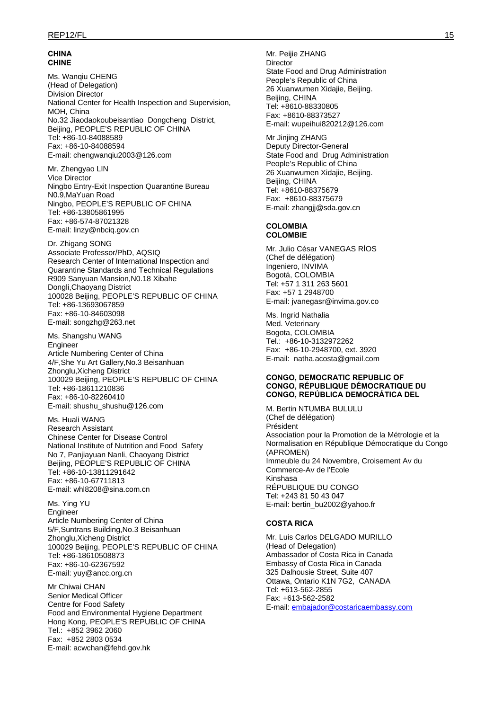#### **CHINA CHINE**

Ms. Wanqiu CHENG (Head of Delegation) Division Director National Center for Health Inspection and Supervision, MOH, China No.32 Jiaodaokoubeisantiao Dongcheng District, Beijing, PEOPLE'S REPUBLIC OF CHINA Tel: +86-10-84088589 Fax: +86-10-84088594 E-mail: chengwanqiu2003@126.com

Mr. Zhengyao LIN Vice Director Ningbo Entry-Exit Inspection Quarantine Bureau N0.9,MaYuan Road Ningbo, PEOPLE'S REPUBLIC OF CHINA Tel: +86-13805861995 Fax: +86-574-87021328 E-mail: linzy@nbciq.gov.cn

Dr. Zhigang SONG Associate Professor/PhD, AQSIQ Research Center of International Inspection and Quarantine Standards and Technical Regulations R909 Sanyuan Mansion,N0.18 Xibahe Dongli,Chaoyang District 100028 Beijing, PEOPLE'S REPUBLIC OF CHINA Tel: +86-13693067859 Fax: +86-10-84603098 E-mail: songzhg@263.net

Ms. Shangshu WANG Engineer Article Numbering Center of China 4/F,She Yu Art Gallery,No.3 Beisanhuan Zhonglu,Xicheng District 100029 Beijing, PEOPLE'S REPUBLIC OF CHINA Tel: +86-18611210836 Fax: +86-10-82260410 E-mail: shushu\_shushu@126.com

Ms. Huali WANG Research Assistant Chinese Center for Disease Control National Institute of Nutrition and Food Safety No 7, Panjiayuan Nanli, Chaoyang District Beijing, PEOPLE'S REPUBLIC OF CHINA Tel: +86-10-13811291642 Fax: +86-10-67711813 E-mail: whl8208@sina.com.cn

Ms. Ying YU Engineer Article Numbering Center of China 5/F,Suntrans Building,No.3 Beisanhuan Zhonglu,Xicheng District 100029 Beijing, PEOPLE'S REPUBLIC OF CHINA Tel: +86-18610508873 Fax: +86-10-62367592 E-mail: yuy@ancc.org.cn

Mr Chiwai CHAN Senior Medical Officer Centre for Food Safety Food and Environmental Hygiene Department Hong Kong, PEOPLE'S REPUBLIC OF CHINA Tel.: +852 3962 2060 Fax: +852 2803 0534 E-mail: acwchan@fehd.gov.hk

Mr. Peijie ZHANG **Director** State Food and Drug Administration People's Republic of China 26 Xuanwumen Xidajie, Beijing. Beijing, CHINA Tel: +8610-88330805 Fax: +8610-88373527 E-mail: wupeihui820212@126.com

Mr Jinjing ZHANG Deputy Director-General State Food and Drug Administration People's Republic of China 26 Xuanwumen Xidajie, Beijing. Beijing, CHINA Tel: +8610-88375679 Fax: +8610-88375679 E-mail: zhangjj@sda.gov.cn

### **COLOMBIA COLOMBIE**

Mr. Julio César VANEGAS RÍOS (Chef de délégation) Ingeniero, INVIMA Bogotá, COLOMBIA Tel: +57 1 311 263 5601 Fax: +57 1 2948700 E-mail: jvanegasr@invima.gov.co

Ms. Ingrid Nathalia Med. Veterinary Bogota, COLOMBIA Tel.: +86-10-3132972262 Fax: +86-10-2948700, ext. 3920 E-mail: natha.acosta@gmail.com

#### **CONGO, DEMOCRATIC REPUBLIC OF CONGO, RÉPUBLIQUE DÉMOCRATIQUE DU CONGO, REPÚBLICA DEMOCRÁTICA DEL**

M. Bertin NTUMBA BULULU (Chef de délégation) Président Association pour la Promotion de la Métrologie et la Normalisation en République Démocratique du Congo (APROMEN) Immeuble du 24 Novembre, Croisement Av du Commerce-Av de l'Ecole Kinshasa RÉPUBLIQUE DU CONGO Tel: +243 81 50 43 047 E-mail: bertin\_bu2002@yahoo.fr

### **COSTA RICA**

Mr. Luis Carlos DELGADO MURILLO (Head of Delegation) Ambassador of Costa Rica in Canada Embassy of Costa Rica in Canada 325 Dalhousie Street, Suite 407 Ottawa, Ontario K1N 7G2, CANADA Tel: +613-562-2855 Fax: +613-562-2582 E-mail: embajador@costaricaembassy.com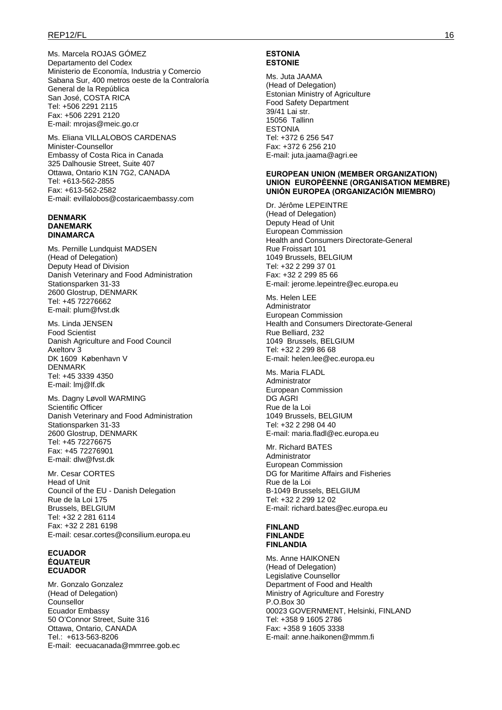### REP12/FL 16

Ms. Marcela ROJAS GÓMEZ Departamento del Codex Ministerio de Economía, Industria y Comercio Sabana Sur, 400 metros oeste de la Contraloría General de la República San José, COSTA RICA Tel: +506 2291 2115 Fax: +506 2291 2120 E-mail: mrojas@meic.go.cr

Ms. Eliana VILLALOBOS CARDENAS Minister-Counsellor Embassy of Costa Rica in Canada 325 Dalhousie Street, Suite 407 Ottawa, Ontario K1N 7G2, CANADA Tel: +613-562-2855 Fax: +613-562-2582 E-mail: evillalobos@costaricaembassy.com

#### **DENMARK DANEMARK DINAMARCA**

Ms. Pernille Lundquist MADSEN (Head of Delegation) Deputy Head of Division Danish Veterinary and Food Administration Stationsparken 31-33 2600 Glostrup, DENMARK Tel: +45 72276662 E-mail: plum@fvst.dk

Ms. Linda JENSEN Food Scientist Danish Agriculture and Food Council Axeltorv 3 DK 1609 København V DENMARK Tel: +45 3339 4350 E-mail: lmj@lf.dk

Ms. Dagny Løvoll WARMING Scientific Officer Danish Veterinary and Food Administration Stationsparken 31-33 2600 Glostrup, DENMARK Tel: +45 72276675 Fax: +45 72276901 E-mail: dlw@fvst.dk

Mr. Cesar CORTES Head of Unit Council of the EU - Danish Delegation Rue de la Loi 175 Brussels, BELGIUM Tel: +32 2 281 6114 Fax: +32 2 281 6198 E-mail: cesar.cortes@consilium.europa.eu

#### **ECUADOR ÉQUATEUR ECUADOR**

Mr. Gonzalo Gonzalez (Head of Delegation) Counsellor Ecuador Embassy 50 O'Connor Street, Suite 316 Ottawa, Ontario, CANADA Tel.: +613-563-8206 E-mail: eecuacanada@mmrree.gob.ec

#### **ESTONIA ESTONIE**

Ms. Juta JAAMA (Head of Delegation) Estonian Ministry of Agriculture Food Safety Department 39/41 Lai str. 15056 Tallinn **ESTONIA** Tel: +372 6 256 547 Fax: +372 6 256 210 E-mail: juta.jaama@agri.ee

### **EUROPEAN UNION (MEMBER ORGANIZATION) UNION EUROPÉENNE (ORGANISATION MEMBRE) UNIÓN EUROPEA (ORGANIZACIÓN MIEMBRO)**

Dr. Jérôme LEPEINTRE (Head of Delegation) Deputy Head of Unit European Commission Health and Consumers Directorate-General Rue Froissart 101 1049 Brussels, BELGIUM Tel: +32 2 299 37 01 Fax: +32 2 299 85 66 E-mail: jerome.lepeintre@ec.europa.eu

Ms. Helen LEE Administrator European Commission Health and Consumers Directorate-General Rue Belliard, 232 1049 Brussels, BELGIUM Tel: +32 2 299 86 68 E-mail: helen.lee@ec.europa.eu

Ms. Maria FLADL Administrator European Commission DG AGRI Rue de la Loi 1049 Brussels, BELGIUM Tel: +32 2 298 04 40 E-mail: maria.fladl@ec.europa.eu

Mr. Richard BATES Administrator European Commission DG for Maritime Affairs and Fisheries Rue de la Loi B-1049 Brussels, BELGIUM Tel: +32 2 299 12 02 E-mail: richard.bates@ec.europa.eu

### **FINLAND FINLANDE FINLANDIA**

Ms. Anne HAIKONEN (Head of Delegation) Legislative Counsellor Department of Food and Health Ministry of Agriculture and Forestry P.O.Box 30 00023 GOVERNMENT, Helsinki, FINLAND Tel: +358 9 1605 2786 Fax: +358 9 1605 3338 E-mail: anne.haikonen@mmm.fi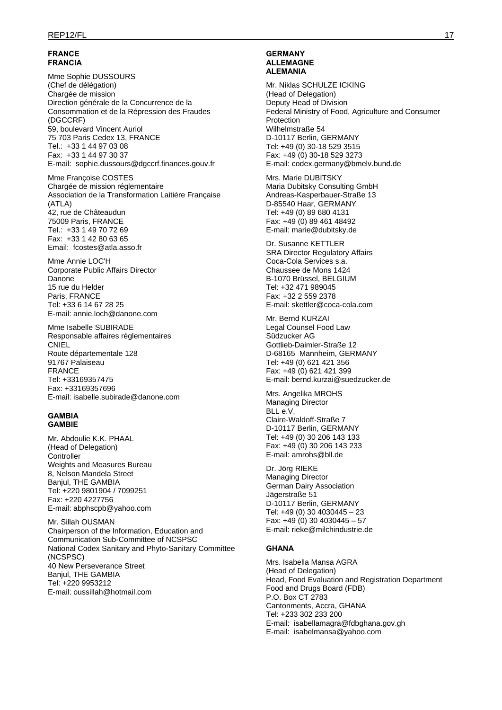### **FRANCE FRANCIA**

Mme Sophie DUSSOURS (Chef de délégation) Chargée de mission Direction générale de la Concurrence de la Consommation et de la Répression des Fraudes (DGCCRF) 59, boulevard Vincent Auriol 75 703 Paris Cedex 13, FRANCE Tel.: +33 1 44 97 03 08 Fax: +33 1 44 97 30 37 E-mail: sophie.dussours@dgccrf.finances.gouv.fr

Mme Françoise COSTES Chargée de mission réglementaire Association de la Transformation Laitière Française (ATLA) 42, rue de Châteaudun 75009 Paris, FRANCE Tel.: +33 1 49 70 72 69 Fax: +33 1 42 80 63 65 Email: fcostes@atla.asso.fr

Mme Annie LOC'H Corporate Public Affairs Director Danone 15 rue du Helder Paris, FRANCE Tel: +33 6 14 67 28 25 E-mail: annie.loch@danone.com

Mme Isabelle SUBIRADE Responsable affaires réglementaires **CNIEL** Route départementale 128 91767 Palaiseau FRANCE Tel: +33169357475 Fax: +33169357696 E-mail: isabelle.subirade@danone.com

### **GAMBIA GAMBIE**

Mr. Abdoulie K.K. PHAAL (Head of Delegation) **Controller** Weights and Measures Bureau 8, Nelson Mandela Street Banjul, THE GAMBIA Tel: +220 9801904 / 7099251 Fax: +220 4227756 E-mail: abphscpb@yahoo.com

Mr. Sillah OUSMAN Chairperson of the Information, Education and Communication Sub-Committee of NCSPSC National Codex Sanitary and Phyto-Sanitary Committee (NCSPSC) 40 New Perseverance Street Banjul, THE GAMBIA Tel: +220 9953212 E-mail: oussillah@hotmail.com

#### **GERMANY ALLEMAGNE ALEMANIA**

Mr. Niklas SCHULZE ICKING (Head of Delegation) Deputy Head of Division Federal Ministry of Food, Agriculture and Consumer Protection Wilhelmstraße 54 D-10117 Berlin, GERMANY Tel: +49 (0) 30-18 529 3515 Fax: +49 (0) 30-18 529 3273 E-mail: codex.germany@bmelv.bund.de

Mrs. Marie DUBITSKY Maria Dubitsky Consulting GmbH Andreas-Kasperbauer-Straße 13 D-85540 Haar, GERMANY Tel: +49 (0) 89 680 4131 Fax: +49 (0) 89 461 48492 E-mail: marie@dubitsky.de

Dr. Susanne KETTLER SRA Director Regulatory Affairs Coca-Cola Services s.a. Chaussee de Mons 1424 B-1070 Brüssel, BELGIUM Tel: +32 471 989045 Fax: +32 2 559 2378 E-mail: skettler@coca-cola.com

Mr. Bernd KURZAI Legal Counsel Food Law Südzucker AG Gottlieb-Daimler-Straße 12 D-68165 Mannheim, GERMANY Tel: +49 (0) 621 421 356 Fax: +49 (0) 621 421 399 E-mail: bernd.kurzai@suedzucker.de

Mrs. Angelika MROHS Managing Director BLL e.V. Claire-Waldoff-Straße 7 D-10117 Berlin, GERMANY Tel: +49 (0) 30 206 143 133 Fax: +49 (0) 30 206 143 233 E-mail: amrohs@bll.de

Dr. Jörg RIEKE Managing Director German Dairy Association Jägerstraße 51 D-10117 Berlin, GERMANY Tel: +49 (0) 30 4030445 – 23 Fax: +49 (0) 30 4030445 – 57 E-mail: rieke@milchindustrie.de

### **GHANA**

Mrs. Isabella Mansa AGRA (Head of Delegation) Head, Food Evaluation and Registration Department Food and Drugs Board (FDB) P.O. Box CT 2783 Cantonments, Accra, GHANA Tel: +233 302 233 200 E-mail: isabellamagra@fdbghana.gov.gh E-mail: isabelmansa@yahoo.com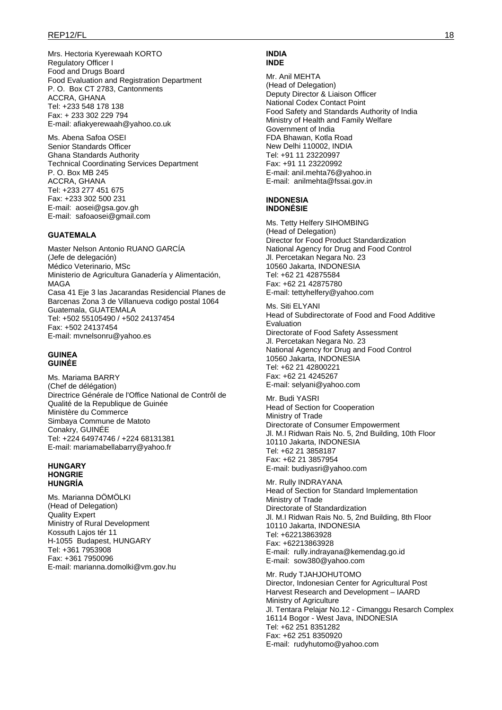Mrs. Hectoria Kyerewaah KORTO Regulatory Officer I Food and Drugs Board Food Evaluation and Registration Department P. O. Box CT 2783, Cantonments ACCRA, GHANA Tel: +233 548 178 138 Fax: + 233 302 229 794 E-mail: afiakyerewaah@yahoo.co.uk

Ms. Abena Safoa OSEI Senior Standards Officer Ghana Standards Authority Technical Coordinating Services Department P. O. Box MB 245 ACCRA, GHANA Tel: +233 277 451 675 Fax: +233 302 500 231 E-mail: aosei@gsa.gov.gh E-mail: safoaosei@gmail.com

### **GUATEMALA**

Master Nelson Antonio RUANO GARCÍA (Jefe de delegación) Médico Veterinario, MSc Ministerio de Agricultura Ganadería y Alimentación, MAGA Casa 41 Eje 3 las Jacarandas Residencial Planes de Barcenas Zona 3 de Villanueva codigo postal 1064 Guatemala, GUATEMALA Tel: +502 55105490 / +502 24137454 Fax: +502 24137454 E-mail: mvnelsonru@yahoo.es

#### **GUINEA GUINÉE**

Ms. Mariama BARRY (Chef de délégation) Directrice Générale de l'Office National de Contrôl de Qualité de la Republique de Guinée Ministère du Commerce Simbaya Commune de Matoto Conakry, GUINÉE Tel: +224 64974746 / +224 68131381 E-mail: mariamabellabarry@yahoo.fr

#### **HUNGARY HONGRIE HUNGRÍA**

Ms. Marianna DÖMÖLKI (Head of Delegation) Quality Expert Ministry of Rural Development Kossuth Lajos tér 11 H-1055 Budapest, HUNGARY Tel: +361 7953908 Fax: +361 7950096 E-mail: marianna.domolki@vm.gov.hu

#### **INDIA INDE**

Mr. Anil MEHTA (Head of Delegation) Deputy Director & Liaison Officer National Codex Contact Point Food Safety and Standards Authority of India Ministry of Health and Family Welfare Government of India FDA Bhawan, Kotla Road New Delhi 110002, INDIA Tel: +91 11 23220997 Fax: +91 11 23220992 E-mail: anil.mehta76@yahoo.in E-mail: anilmehta@fssai.gov.in

#### **INDONESIA INDONÉSIE**

Ms. Tetty Helfery SIHOMBING (Head of Delegation) Director for Food Product Standardization National Agency for Drug and Food Control Jl. Percetakan Negara No. 23 10560 Jakarta, INDONESIA Tel: +62 21 42875584 Fax: +62 21 42875780 E-mail: tettyhelfery@yahoo.com

Ms. Siti ELYANI Head of Subdirectorate of Food and Food Additive Evaluation Directorate of Food Safety Assessment Jl. Percetakan Negara No. 23 National Agency for Drug and Food Control 10560 Jakarta, INDONESIA Tel: +62 21 42800221 Fax: +62 21 4245267 E-mail: selyani@yahoo.com

Mr. Budi YASRI Head of Section for Cooperation Ministry of Trade Directorate of Consumer Empowerment Jl. M.I Ridwan Rais No. 5, 2nd Building, 10th Floor 10110 Jakarta, INDONESIA Tel: +62 21 3858187 Fax: +62 21 3857954 E-mail: budiyasri@yahoo.com

Mr. Rully INDRAYANA Head of Section for Standard Implementation Ministry of Trade Directorate of Standardization Jl. M.I Ridwan Rais No. 5, 2nd Building, 8th Floor 10110 Jakarta, INDONESIA Tel: +62213863928 Fax: +62213863928 E-mail: rully.indrayana@kemendag.go.id E-mail: sow380@yahoo.com

Mr. Rudy TJAHJOHUTOMO Director, Indonesian Center for Agricultural Post Harvest Research and Development – IAARD Ministry of Agriculture Jl. Tentara Pelajar No.12 - Cimanggu Resarch Complex 16114 Bogor - West Java, INDONESIA Tel: +62 251 8351282 Fax: +62 251 8350920 E-mail: rudyhutomo@yahoo.com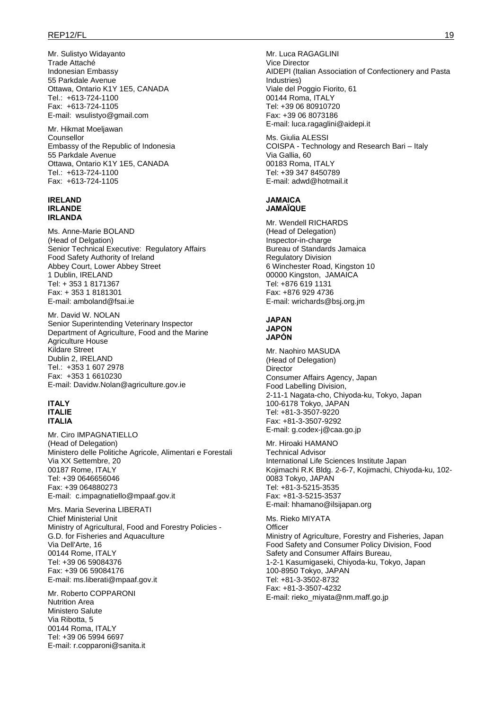Mr. Sulistyo Widayanto Trade Attaché Indonesian Embassy 55 Parkdale Avenue Ottawa, Ontario K1Y 1E5, CANADA Tel.: +613-724-1100 Fax: +613-724-1105 E-mail: wsulistyo@gmail.com

Mr. Hikmat Moeljawan Counsellor Embassy of the Republic of Indonesia 55 Parkdale Avenue Ottawa, Ontario K1Y 1E5, CANADA Tel.: +613-724-1100 Fax: +613-724-1105

#### **IRELAND IRLANDE IRLANDA**

Ms. Anne-Marie BOLAND (Head of Delgation) Senior Technical Executive: Regulatory Affairs Food Safety Authority of Ireland Abbey Court, Lower Abbey Street 1 Dublin, IRELAND Tel: + 353 1 8171367 Fax: + 353 1 8181301 E-mail: amboland@fsai.ie

Mr. David W. NOLAN Senior Superintending Veterinary Inspector Department of Agriculture, Food and the Marine Agriculture House Kildare Street Dublin 2, IRELAND Tel.: +353 1 607 2978 Fax: +353 1 6610230 E-mail: Davidw.Nolan@agriculture.gov.ie

#### **ITALY ITALIE ITALIA**

Mr. Ciro IMPAGNATIELLO (Head of Delegation) Ministero delle Politiche Agricole, Alimentari e Forestali Via XX Settembre, 20 00187 Rome, ITALY Tel: +39 0646656046 Fax: +39 064880273 E-mail: c.impagnatiello@mpaaf.gov.it

Mrs. Maria Severina LIBERATI Chief Ministerial Unit Ministry of Agricultural, Food and Forestry Policies - G.D. for Fisheries and Aquaculture Via Dell'Arte, 16 00144 Rome, ITALY Tel: +39 06 59084376 Fax: +39 06 59084176 E-mail: ms.liberati@mpaaf.gov.it

Mr. Roberto COPPARONI Nutrition Area Ministero Salute Via Ribotta, 5 00144 Roma, ITALY Tel: +39 06 5994 6697 E-mail: r.copparoni@sanita.it Mr. Luca RAGAGLINI Vice Director AIDEPI (Italian Association of Confectionery and Pasta Industries) Viale del Poggio Fiorito, 61 00144 Roma, ITALY Tel: +39 06 80910720 Fax: +39 06 8073186 E-mail: luca.ragaglini@aidepi.it

Ms. Giulia ALESSI COISPA - Technology and Research Bari – Italy Via Gallia, 60 00183 Roma, ITALY Tel: +39 347 8450789 E-mail: adwd@hotmail.it

#### **JAMAICA JAMAΪQUE**

Mr. Wendell RICHARDS (Head of Delegation) Inspector-in-charge Bureau of Standards Jamaica Regulatory Division 6 Winchester Road, Kingston 10 00000 Kingston, JAMAICA Tel: +876 619 1131 Fax: +876 929 4736 E-mail: wrichards@bsj.org.jm

#### **JAPAN JAPON JAPÓN**

Mr. Naohiro MASUDA (Head of Delegation) Director Consumer Affairs Agency, Japan Food Labelling Division, 2-11-1 Nagata-cho, Chiyoda-ku, Tokyo, Japan 100-6178 Tokyo, JAPAN Tel: +81-3-3507-9220 Fax: +81-3-3507-9292 E-mail: g.codex-j@caa.go.jp

Mr. Hiroaki HAMANO Technical Advisor International Life Sciences Institute Japan Kojimachi R.K Bldg. 2-6-7, Kojimachi, Chiyoda-ku, 102- 0083 Tokyo, JAPAN Tel: +81-3-5215-3535 Fax: +81-3-5215-3537 E-mail: hhamano@ilsijapan.org

Ms. Rieko MIYATA **Officer** Ministry of Agriculture, Forestry and Fisheries, Japan Food Safety and Consumer Policy Division, Food Safety and Consumer Affairs Bureau, 1-2-1 Kasumigaseki, Chiyoda-ku, Tokyo, Japan 100-8950 Tokyo, JAPAN Tel: +81-3-3502-8732 Fax: +81-3-3507-4232 E-mail: rieko\_miyata@nm.maff.go.jp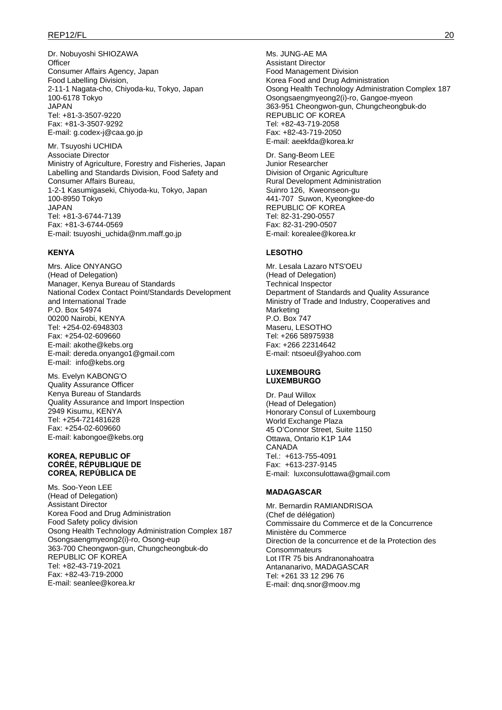### REP12/FL 20

Dr. Nobuyoshi SHIOZAWA **Officer** Consumer Affairs Agency, Japan Food Labelling Division, 2-11-1 Nagata-cho, Chiyoda-ku, Tokyo, Japan 100-6178 Tokyo JAPAN Tel: +81-3-3507-9220 Fax: +81-3-3507-9292 E-mail: g.codex-j@caa.go.jp

Mr. Tsuyoshi UCHIDA Associate Director Ministry of Agriculture, Forestry and Fisheries, Japan Labelling and Standards Division, Food Safety and Consumer Affairs Bureau, 1-2-1 Kasumigaseki, Chiyoda-ku, Tokyo, Japan 100-8950 Tokyo JAPAN Tel: +81-3-6744-7139 Fax: +81-3-6744-0569 E-mail: tsuyoshi\_uchida@nm.maff.go.jp

#### **KENYA**

Mrs. Alice ONYANGO (Head of Delegation) Manager, Kenya Bureau of Standards National Codex Contact Point/Standards Development and International Trade P.O. Box 54974 00200 Nairobi, KENYA Tel: +254-02-6948303 Fax: +254-02-609660 E-mail: akothe@kebs.org E-mail: dereda.onyango1@gmail.com E-mail: info@kebs.org

Ms. Evelyn KABONG'O Quality Assurance Officer Kenya Bureau of Standards Quality Assurance and Import Inspection 2949 Kisumu, KENYA Tel: +254-721481628 Fax: +254-02-609660 E-mail: kabongoe@kebs.org

#### **KOREA, REPUBLIC OF CORÉE, RÉPUBLIQUE DE COREA, REPÚBLICA DE**

Ms. Soo-Yeon LEE (Head of Delegation) Assistant Director Korea Food and Drug Administration Food Safety policy division Osong Health Technology Administration Complex 187 Osongsaengmyeong2(i)-ro, Osong-eup 363-700 Cheongwon-gun, Chungcheongbuk-do REPUBLIC OF KOREA Tel: +82-43-719-2021 Fax: +82-43-719-2000 E-mail: seanlee@korea.kr

Ms. JUNG-AE MA Assistant Director Food Management Division Korea Food and Drug Administration Osong Health Technology Administration Complex 187 Osongsaengmyeong2(i)-ro, Gangoe-myeon 363-951 Cheongwon-gun, Chungcheongbuk-do REPUBLIC OF KOREA Tel: +82-43-719-2058 Fax: +82-43-719-2050 E-mail: aeekfda@korea.kr

Dr. Sang-Beom LEE Junior Researcher Division of Organic Agriculture Rural Development Administration Suinro 126, Kweonseon-gu 441-707 Suwon, Kyeongkee-do REPUBLIC OF KOREA Tel: 82-31-290-0557 Fax: 82-31-290-0507 E-mail: korealee@korea.kr

### **LESOTHO**

Mr. Lesala Lazaro NTS'OEU (Head of Delegation) Technical Inspector Department of Standards and Quality Assurance Ministry of Trade and Industry, Cooperatives and Marketing P.O. Box 747 Maseru, LESOTHO Tel: +266 58975938 Fax: +266 22314642 E-mail: ntsoeul@yahoo.com

#### **LUXEMBOURG LUXEMBURGO**

Dr. Paul Willox (Head of Delegation) Honorary Consul of Luxembourg World Exchange Plaza 45 O'Connor Street, Suite 1150 Ottawa, Ontario K1P 1A4 CANADA Tel.: +613-755-4091 Fax: +613-237-9145 E-mail: luxconsulottawa@gmail.com

#### **MADAGASCAR**

Mr. Bernardin RAMIANDRISOA (Chef de délégation) Commissaire du Commerce et de la Concurrence Ministère du Commerce Direction de la concurrence et de la Protection des **Consommateurs** Lot ITR 75 bis Andranonahoatra Antananarivo, MADAGASCAR Tel: +261 33 12 296 76 E-mail: dnq.snor@moov.mg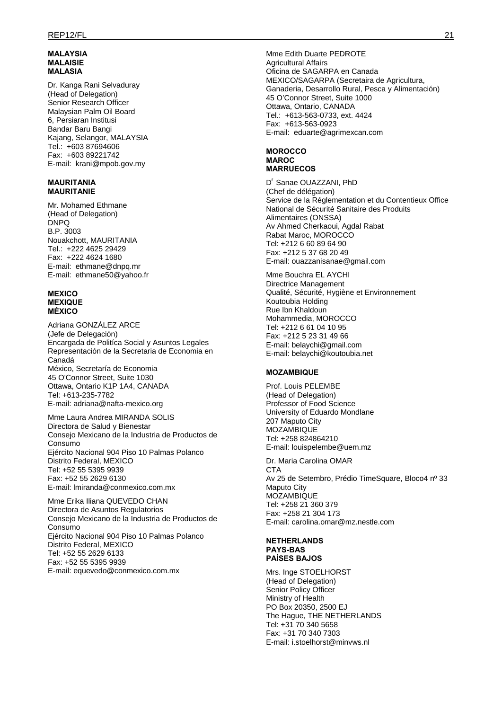#### **MALAYSIA MALAISIE MALASIA**

Dr. Kanga Rani Selvaduray (Head of Delegation) Senior Research Officer Malaysian Palm Oil Board 6, Persiaran Institusi Bandar Baru Bangi Kajang, Selangor, MALAYSIA Tel.: +603 87694606 Fax: +603 89221742 E-mail: krani@mpob.gov.my

#### **MAURITANIA MAURITANIE**

Mr. Mohamed Ethmane (Head of Delegation) DNPQ B.P. 3003 Nouakchott, MAURITANIA Tel.: +222 4625 29429 Fax: +222 4624 1680 E-mail: ethmane@dnpq.mr E-mail: ethmane50@yahoo.fr

#### **MEXICO MEXIQUE MÉXICO**

Adriana GONZÁLEZ ARCE (Jefe de Delegación) Encargada de Politíca Social y Asuntos Legales Representación de la Secretaria de Economia en Canadá México, Secretaría de Economia 45 O'Connor Street, Suite 1030 Ottawa, Ontario K1P 1A4, CANADA Tel: +613-235-7782 E-mail: adriana@nafta-mexico.org

Mme Laura Andrea MIRANDA SOLIS Directora de Salud y Bienestar Consejo Mexicano de la Industria de Productos de Consumo Ejército Nacional 904 Piso 10 Palmas Polanco Distrito Federal, MEXICO Tel: +52 55 5395 9939 Fax: +52 55 2629 6130 E-mail: lmiranda@conmexico.com.mx

Mme Erika Iliana QUEVEDO CHAN Directora de Asuntos Regulatorios Consejo Mexicano de la Industria de Productos de Consumo Ejército Nacional 904 Piso 10 Palmas Polanco Distrito Federal, MEXICO Tel: +52 55 2629 6133 Fax: +52 55 5395 9939 E-mail: equevedo@conmexico.com.mx

Mme Edith Duarte PEDROTE Agricultural Affairs Oficina de SAGARPA en Canada MEXICO/SAGARPA (Secretaira de Agricultura, Ganaderia, Desarrollo Rural, Pesca y Alimentación) 45 O'Connor Street, Suite 1000 Ottawa, Ontario, CANADA Tel.: +613-563-0733, ext. 4424 Fax: +613-563-0923 E-mail: eduarte@agrimexcan.com

#### **MOROCCO MAROC MARRUECOS**

D<sup>r</sup> Sanae OUAZZANI, PhD (Chef de délégation) Service de la Réglementation et du Contentieux Office National de Sécurité Sanitaire des Produits Alimentaires (ONSSA) Av Ahmed Cherkaoui, Agdal Rabat Rabat Maroc, MOROCCO Tel: +212 6 60 89 64 90 Fax: +212 5 37 68 20 49 E-mail: ouazzanisanae@gmail.com

Mme Bouchra EL AYCHI Directrice Management Qualité, Sécurité, Hygiène et Environnement Koutoubia Holding Rue Ibn Khaldoun Mohammedia, MOROCCO Tel: +212 6 61 04 10 95 Fax: +212 5 23 31 49 66 E-mail: belaychi@gmail.com E-mail: belaychi@koutoubia.net

### **MOZAMBIQUE**

Prof. Louis PELEMBE (Head of Delegation) Professor of Food Science University of Eduardo Mondlane 207 Maputo City **MOZAMBIQUE** Tel: +258 824864210 E-mail: louispelembe@uem.mz

Dr. Maria Carolina OMAR C<sub>TA</sub> Av 25 de Setembro, Prédio TimeSquare, Bloco4 nº 33 Maputo City **MOZAMBIQUE** Tel: +258 21 360 379 Fax: +258 21 304 173 E-mail: carolina.omar@mz.nestle.com

#### **NETHERLANDS PAYS-BAS PAÍSES BAJOS**

Mrs. Inge STOELHORST (Head of Delegation) Senior Policy Officer Ministry of Health PO Box 20350, 2500 EJ The Hague, THE NETHERLANDS Tel: +31 70 340 5658 Fax: +31 70 340 7303 E-mail: i.stoelhorst@minvws.nl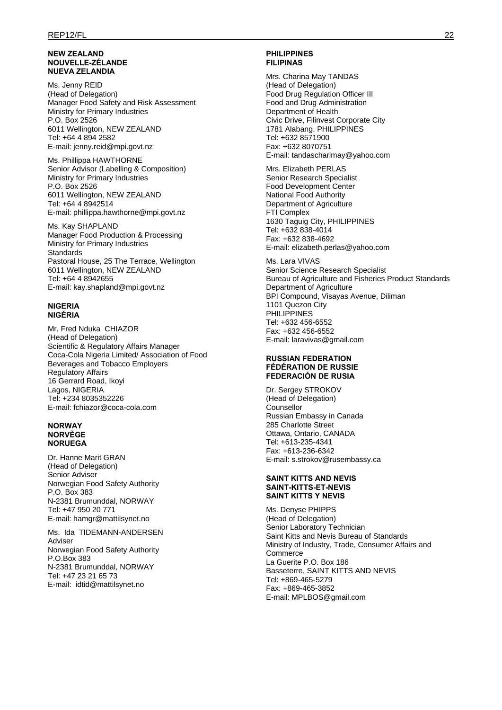#### **NEW ZEALAND NOUVELLE-ZÉLANDE NUEVA ZELANDIA**

Ms. Jenny REID (Head of Delegation) Manager Food Safety and Risk Assessment Ministry for Primary Industries P.O. Box 2526 6011 Wellington, NEW ZEALAND Tel: +64 4 894 2582 E-mail: jenny.reid@mpi.govt.nz

Ms. Phillippa HAWTHORNE Senior Advisor (Labelling & Composition) Ministry for Primary Industries P.O. Box 2526 6011 Wellington, NEW ZEALAND Tel: +64 4 8942514 E-mail: phillippa.hawthorne@mpi.govt.nz

Ms. Kay SHAPLAND Manager Food Production & Processing Ministry for Primary Industries **Standards** Pastoral House, 25 The Terrace, Wellington 6011 Wellington, NEW ZEALAND Tel: +64 4 8942655 E-mail: kay.shapland@mpi.govt.nz

#### **NIGERIA NIGÉRIA**

Mr. Fred Nduka CHIAZOR (Head of Delegation) Scientific & Regulatory Affairs Manager Coca-Cola Nigeria Limited/ Association of Food Beverages and Tobacco Employers Regulatory Affairs 16 Gerrard Road, Ikoyi Lagos, NIGERIA Tel: +234 8035352226 E-mail: fchiazor@coca-cola.com

#### **NORWAY NORVÈGE NORUEGA**

Dr. Hanne Marit GRAN (Head of Delegation) Senior Adviser Norwegian Food Safety Authority P.O. Box 383 N-2381 Brumunddal, NORWAY Tel: +47 950 20 771 E-mail: hamgr@mattilsynet.no

Ms. Ida TIDEMANN-ANDERSEN Adviser Norwegian Food Safety Authority P.O.Box 383 N-2381 Brumunddal, NORWAY Tel: +47 23 21 65 73 E-mail: idtid@mattilsynet.no

### **PHILIPPINES FILIPINAS**

Mrs. Charina May TANDAS (Head of Delegation) Food Drug Regulation Officer III Food and Drug Administration Department of Health Civic Drive, Filinvest Corporate City 1781 Alabang, PHILIPPINES Tel: +632 8571900 Fax: +632 8070751 E-mail: tandascharimay@yahoo.com

Mrs. Elizabeth PERLAS Senior Research Specialist Food Development Center National Food Authority Department of Agriculture FTI Complex 1630 Taguig City, PHILIPPINES Tel: +632 838-4014 Fax: +632 838-4692 E-mail: elizabeth.perlas@yahoo.com

Ms. Lara VIVAS Senior Science Research Specialist Bureau of Agriculture and Fisheries Product Standards Department of Agriculture BPI Compound, Visayas Avenue, Diliman 1101 Quezon City PHILIPPINES Tel: +632 456-6552 Fax: +632 456-6552 E-mail: laravivas@gmail.com

#### **RUSSIAN FEDERATION FÉDÉRATION DE RUSSIE FEDERACIÓN DE RUSIA**

Dr. Sergey STROKOV (Head of Delegation) Counsellor Russian Embassy in Canada 285 Charlotte Street Ottawa, Ontario, CANADA Tel: +613-235-4341 Fax: +613-236-6342 E-mail: s.strokov@rusembassy.ca

#### **SAINT KITTS AND NEVIS SAINT-KITTS-ET-NEVIS SAINT KITTS Y NEVIS**

Ms. Denyse PHIPPS (Head of Delegation) Senior Laboratory Technician Saint Kitts and Nevis Bureau of Standards Ministry of Industry, Trade, Consumer Affairs and **Commerce** La Guerite P.O. Box 186 Basseterre, SAINT KITTS AND NEVIS Tel: +869-465-5279 Fax: +869-465-3852 E-mail: MPLBOS@gmail.com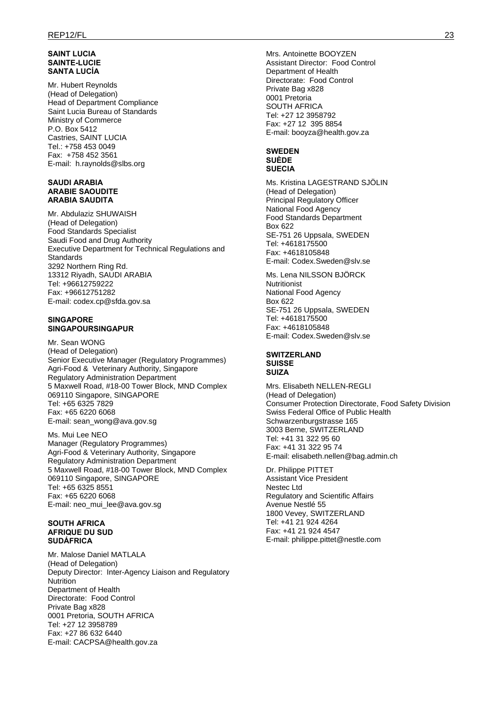### **SAINT LUCIA SAINTE-LUCIE SANTA LUCÍA**

Mr. Hubert Reynolds (Head of Delegation) Head of Department Compliance Saint Lucia Bureau of Standards Ministry of Commerce P.O. Box 5412 Castries, SAINT LUCIA Tel.: +758 453 0049 Fax: +758 452 3561 E-mail: h.raynolds@slbs.org

#### **SAUDI ARABIA ARABIE SAOUDITE ARABIA SAUDITA**

Mr. Abdulaziz SHUWAISH (Head of Delegation) Food Standards Specialist Saudi Food and Drug Authority Executive Department for Technical Regulations and **Standards** 3292 Northern Ring Rd. 13312 Riyadh, SAUDI ARABIA Tel: +96612759222 Fax: +96612751282 E-mail: codex.cp@sfda.gov.sa

### **SINGAPORE SINGAPOURSINGAPUR**

Mr. Sean WONG (Head of Delegation) Senior Executive Manager (Regulatory Programmes) Agri-Food & Veterinary Authority, Singapore Regulatory Administration Department 5 Maxwell Road, #18-00 Tower Block, MND Complex 069110 Singapore, SINGAPORE Tel: +65 6325 7829 Fax: +65 6220 6068 E-mail: sean\_wong@ava.gov.sg

Ms. Mui Lee NEO Manager (Regulatory Programmes) Agri-Food & Veterinary Authority, Singapore Regulatory Administration Department 5 Maxwell Road, #18-00 Tower Block, MND Complex 069110 Singapore, SINGAPORE Tel: +65 6325 8551 Fax: +65 6220 6068 E-mail: neo\_mui\_lee@ava.gov.sg

#### **SOUTH AFRICA AFRIQUE DU SUD SUDÁFRICA**

Mr. Malose Daniel MATLALA (Head of Delegation) Deputy Director: Inter-Agency Liaison and Regulatory Nutrition Department of Health Directorate: Food Control Private Bag x828 0001 Pretoria, SOUTH AFRICA Tel: +27 12 3958789 Fax: +27 86 632 6440 E-mail: CACPSA@health.gov.za

Mrs. Antoinette BOOYZEN Assistant Director: Food Control Department of Health Directorate: Food Control Private Bag x828 0001 Pretoria SOUTH AFRICA Tel: +27 12 3958792 Fax: +27 12 395 8854 E-mail: booyza@health.gov.za

#### **SWEDEN SUÈDE SUECIA**

Ms. Kristina LAGESTRAND SJÖLIN (Head of Delegation) Principal Regulatory Officer National Food Agency Food Standards Department Box 622 SE-751 26 Uppsala, SWEDEN Tel: +4618175500 Fax: +4618105848 E-mail: Codex.Sweden@slv.se

Ms. Lena NILSSON BJÖRCK Nutritionist National Food Agency Box 622 SE-751 26 Uppsala, SWEDEN Tel: +4618175500 Fax: +4618105848 E-mail: Codex.Sweden@slv.se

#### **SWITZERLAND SUISSE SUIZA**

Mrs. Elisabeth NELLEN-REGLI (Head of Delegation) Consumer Protection Directorate, Food Safety Division Swiss Federal Office of Public Health Schwarzenburgstrasse 165 3003 Berne, SWITZERLAND Tel: +41 31 322 95 60 Fax: +41 31 322 95 74 E-mail: elisabeth.nellen@bag.admin.ch

Dr. Philippe PITTET Assistant Vice President Nestec Ltd Regulatory and Scientific Affairs Avenue Nestlé 55 1800 Vevey, SWITZERLAND Tel: +41 21 924 4264 Fax: +41 21 924 4547 E-mail: philippe.pittet@nestle.com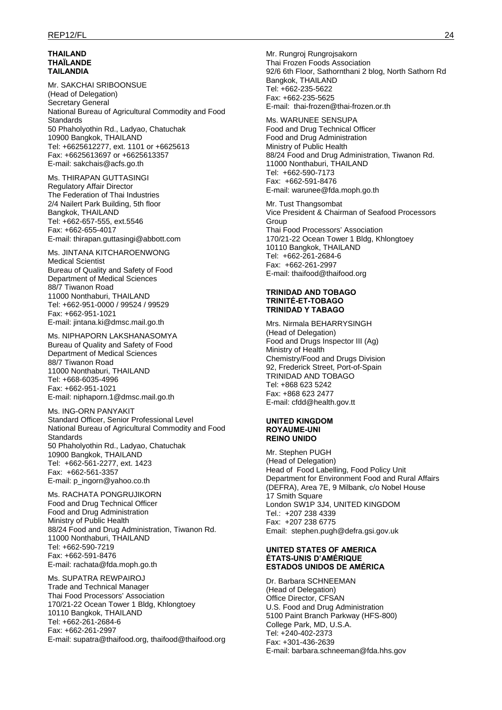#### **THAILAND THAÏLANDE TAILANDIA**

Mr. SAKCHAI SRIBOONSUE (Head of Delegation) Secretary General National Bureau of Agricultural Commodity and Food **Standards** 50 Phaholyothin Rd., Ladyao, Chatuchak 10900 Bangkok, THAILAND Tel: +6625612277, ext. 1101 or +6625613 Fax: +6625613697 or +6625613357 E-mail: sakchais@acfs.go.th

Ms. THIRAPAN GUTTASINGI Regulatory Affair Director The Federation of Thai Industries 2/4 Nailert Park Building, 5th floor Bangkok, THAILAND Tel: +662-657-555, ext.5546 Fax: +662-655-4017 E-mail: thirapan.guttasingi@abbott.com

Ms. JINTANA KITCHAROENWONG Medical Scientist Bureau of Quality and Safety of Food Department of Medical Sciences 88/7 Tiwanon Road 11000 Nonthaburi, THAILAND Tel: +662-951-0000 / 99524 / 99529 Fax: +662-951-1021 E-mail: jintana.ki@dmsc.mail.go.th

Ms. NIPHAPORN LAKSHANASOMYA Bureau of Quality and Safety of Food Department of Medical Sciences 88/7 Tiwanon Road 11000 Nonthaburi, THAILAND Tel: +668-6035-4996 Fax: +662-951-1021 E-mail: niphaporn.1@dmsc.mail.go.th

Ms. ING-ORN PANYAKIT Standard Officer, Senior Professional Level National Bureau of Agricultural Commodity and Food Standards 50 Phaholyothin Rd., Ladyao, Chatuchak 10900 Bangkok, THAILAND Tel: +662-561-2277, ext. 1423 Fax: +662-561-3357 E-mail: p\_ingorn@yahoo.co.th

Ms. RACHATA PONGRUJIKORN Food and Drug Technical Officer Food and Drug Administration Ministry of Public Health 88/24 Food and Drug Administration, Tiwanon Rd. 11000 Nonthaburi, THAILAND Tel: +662-590-7219 Fax: +662-591-8476 E-mail: rachata@fda.moph.go.th

Ms. SUPATRA REWPAIROJ Trade and Technical Manager Thai Food Processors' Association 170/21-22 Ocean Tower 1 Bldg, Khlongtoey 10110 Bangkok, THAILAND Tel: +662-261-2684-6 Fax: +662-261-2997 E-mail: supatra@thaifood.org, thaifood@thaifood.org Mr. Rungroj Rungrojsakorn Thai Frozen Foods Association 92/6 6th Floor, Sathornthani 2 blog, North Sathorn Rd Bangkok, THAILAND Tel: +662-235-5622 Fax: +662-235-5625 E-mail: thai-frozen@thai-frozen.or.th

Ms. WARUNEE SENSUPA Food and Drug Technical Officer Food and Drug Administration Ministry of Public Health 88/24 Food and Drug Administration, Tiwanon Rd. 11000 Nonthaburi, THAILAND Tel: +662-590-7173 Fax: +662-591-8476 E-mail: warunee@fda.moph.go.th

Mr. Tust Thangsombat Vice President & Chairman of Seafood Processors Group Thai Food Processors' Association 170/21-22 Ocean Tower 1 Bldg, Khlongtoey 10110 Bangkok, THAILAND Tel: +662-261-2684-6 Fax: +662-261-2997 E-mail: thaifood@thaifood.org

#### **TRINIDAD AND TOBAGO TRINITÉ-ET-TOBAGO TRINIDAD Y TABAGO**

Mrs. Nirmala BEHARRYSINGH (Head of Delegation) Food and Drugs Inspector III (Ag) Ministry of Health Chemistry/Food and Drugs Division 92, Frederick Street, Port-of-Spain TRINIDAD AND TOBAGO Tel: +868 623 5242 Fax: +868 623 2477 E-mail: cfdd@health.gov.tt

#### **UNITED KINGDOM ROYAUME-UNI REINO UNIDO**

Mr. Stephen PUGH (Head of Delegation) Head of Food Labelling, Food Policy Unit Department for Environment Food and Rural Affairs (DEFRA), Area 7E, 9 Milbank, c/o Nobel House 17 Smith Square London SW1P 3J4, UNITED KINGDOM Tel.: +207 238 4339 Fax: +207 238 6775 Email: stephen.pugh@defra.gsi.gov.uk

#### **UNITED STATES OF AMERICA ÉTATS-UNIS D'AMÉRIQUE ESTADOS UNIDOS DE AMÉRICA**

Dr. Barbara SCHNEEMAN (Head of Delegation) Office Director, CFSAN U.S. Food and Drug Administration 5100 Paint Branch Parkway (HFS-800) College Park, MD, U.S.A. Tel: +240-402-2373 Fax: +301-436-2639 E-mail: barbara.schneeman@fda.hhs.gov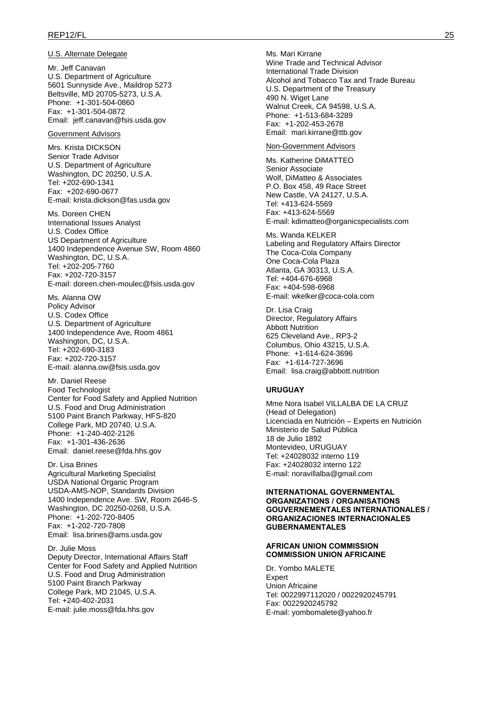#### U.S. Alternate Delegate

Mr. Jeff Canavan U.S. Department of Agriculture 5601 Sunnyside Ave., Maildrop 5273 Beltsville, MD 20705-5273, U.S.A. Phone: +1-301-504-0860 Fax: +1-301-504-0872 Email: jeff.canavan@fsis.usda.gov

#### Government Advisors

Mrs. Krista DICKSON Senior Trade Advisor U.S. Department of Agriculture Washington, DC 20250, U.S.A. Tel: +202-690-1341 Fax: +202-690-0677 E-mail: krista.dickson@fas.usda.gov

Ms. Doreen CHEN International Issues Analyst U.S. Codex Office US Department of Agriculture 1400 Independence Avenue SW, Room 4860 Washington, DC, U.S.A. Tel: +202-205-7760 Fax: +202-720-3157 E-mail: doreen.chen-moulec@fsis.usda.gov

Ms. Alanna OW Policy Advisor U.S. Codex Office U.S. Department of Agriculture 1400 Independence Ave, Room 4861 Washington, DC, U.S.A. Tel: +202-690-3183 Fax: +202-720-3157 E-mail: alanna.ow@fsis.usda.gov

Mr. Daniel Reese Food Technologist Center for Food Safety and Applied Nutrition U.S. Food and Drug Administration 5100 Paint Branch Parkway, HFS-820 College Park, MD 20740, U.S.A. Phone: +1-240-402-2126 Fax: +1-301-436-2636 Email: daniel.reese@fda.hhs.gov

Dr. Lisa Brines Agricultural Marketing Specialist USDA National Organic Program USDA-AMS-NOP, Standards Division 1400 Independence Ave. SW, Room 2646-S Washington, DC 20250-0268, U.S.A. Phone: +1-202-720-8405 Fax: +1-202-720-7808 Email: lisa.brines@ams.usda.gov

Dr. Julie Moss Deputy Director, International Affairs Staff Center for Food Safety and Applied Nutrition U.S. Food and Drug Administration 5100 Paint Branch Parkway College Park, MD 21045, U.S.A. Tel: +240-402-2031 E-mail: julie.moss@fda.hhs.gov

Ms. Mari Kirrane Wine Trade and Technical Advisor International Trade Division Alcohol and Tobacco Tax and Trade Bureau U.S. Department of the Treasury 490 N. Wiget Lane Walnut Creek, CA 94598, U.S.A. Phone: +1-513-684-3289 Fax: +1-202-453-2678 Email: mari.kirrane@ttb.gov

#### Non-Government Advisors

Ms. Katherine DiMATTEO Senior Associate Wolf, DiMatteo & Associates P.O. Box 458, 49 Race Street New Castle, VA 24127, U.S.A. Tel: +413-624-5569 Fax: +413-624-5569 E-mail: kdimatteo@organicspecialists.com

Ms. Wanda KELKER Labeling and Regulatory Affairs Director The Coca-Cola Company One Coca-Cola Plaza Atlanta, GA 30313, U.S.A. Tel: +404-676-6968 Fax: +404-598-6968 E-mail: wkelker@coca-cola.com

Dr. Lisa Craig Director, Regulatory Affairs Abbott Nutrition 625 Cleveland Ave., RP3-2 Columbus, Ohio 43215, U.S.A. Phone: +1-614-624-3696 Fax: +1-614-727-3696 Email: lisa.craig@abbott.nutrition

#### **URUGUAY**

Mme Nora Isabel VILLALBA DE LA CRUZ (Head of Delegation) Licenciada en Nutrición – Experts en Nutrición Ministerio de Salud Pública 18 de Julio 1892 Montevideo, URUGUAY Tel: +24028032 interno 119 Fax: +24028032 interno 122 E-mail: noravillalba@gmail.com

#### **INTERNATIONAL GOVERNMENTAL ORGANIZATIONS / ORGANISATIONS GOUVERNEMENTALES INTERNATIONALES / ORGANIZACIONES INTERNACIONALES GUBERNAMENTALES**

#### **AFRICAN UNION COMMISSION COMMISSION UNION AFRICAINE**

Dr. Yombo MALETE Expert Union Africaine Tel: 0022997112020 / 0022920245791 Fax: 0022920245792 E-mail: yombomalete@yahoo.fr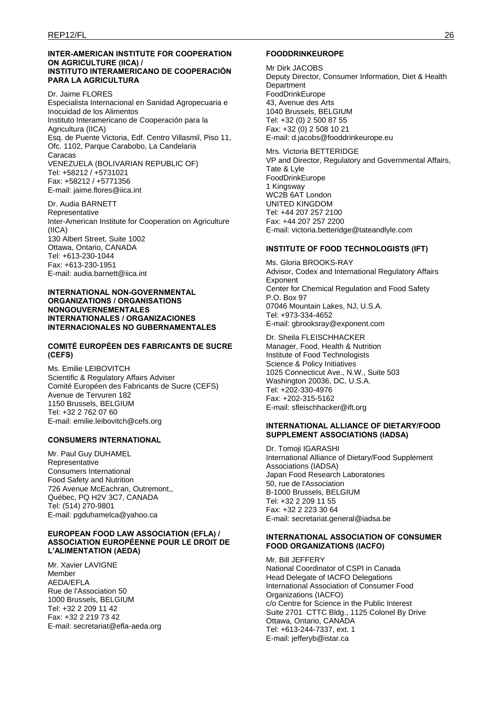#### **INTER-AMERICAN INSTITUTE FOR COOPERATION ON AGRICULTURE (IICA) / INSTITUTO INTERAMERICANO DE COOPERACIÓN PARA LA AGRICULTURA**

Dr. Jaime FLORES Especialista Internacional en Sanidad Agropecuaria e Inocuidad de los Alimentos Instituto Interamericano de Cooperación para la Agricultura (IICA) Esq. de Puente Victoria, Edf. Centro Villasmil, Piso 11, Ofc. 1102, Parque Carabobo, La Candelaria Caracas VENEZUELA (BOLIVARIAN REPUBLIC OF) Tel: +58212 / +5731021 Fax: +58212 / +5771356 E-mail: jaime.flores@iica.int

Dr. Audia BARNETT Representative Inter-American Institute for Cooperation on Agriculture (IICA) 130 Albert Street, Suite 1002 Ottawa, Ontario, CANADA Tel: +613-230-1044 Fax: +613-230-1951 E-mail: audia.barnett@iica.int

#### **INTERNATIONAL NON-GOVERNMENTAL ORGANIZATIONS / ORGANISATIONS NONGOUVERNEMENTALES INTERNATIONALES / ORGANIZACIONES INTERNACIONALES NO GUBERNAMENTALES**

### **COMITÉ EUROPÉEN DES FABRICANTS DE SUCRE (CEFS)**

Ms. Emilie LEIBOVITCH Scientific & Regulatory Affairs Adviser Comité Européen des Fabricants de Sucre (CEFS) Avenue de Tervuren 182 1150 Brussels, BELGIUM Tel: +32 2 762 07 60 E-mail: emilie.leibovitch@cefs.org

# **CONSUMERS INTERNATIONAL**

Mr. Paul Guy DUHAMEL Representative Consumers International Food Safety and Nutrition 726 Avenue McEachran, Outremont,, Québec, PQ H2V 3C7, CANADA Tel: (514) 270-9801 E-mail: pgduhamelca@yahoo.ca

### **EUROPEAN FOOD LAW ASSOCIATION (EFLA) / ASSOCIATION EUROPÉENNE POUR LE DROIT DE L'ALIMENTATION (AEDA)**

Mr. Xavier LAVIGNE Member AEDA/EFLA Rue de l'Association 50 1000 Brussels, BELGIUM Tel: +32 2 209 11 42 Fax: +32 2 219 73 42 E-mail: secretariat@efla-aeda.org

### **FOODDRINKEUROPE**

Mr Dirk JACOBS Deputy Director, Consumer Information, Diet & Health **Department** FoodDrinkEurope 43, Avenue des Arts 1040 Brussels, BELGIUM Tel: +32 (0) 2 500 87 55 Fax: +32 (0) 2 508 10 21 E-mail: d.jacobs@fooddrinkeurope.eu

Mrs. Victoria BETTERIDGE VP and Director, Regulatory and Governmental Affairs, Tate & Lyle FoodDrinkEurope 1 Kingsway WC2B 6AT London UNITED KINGDOM Tel: +44 207 257 2100 Fax: +44 207 257 2200 E-mail: victoria.betteridge@tateandlyle.com

### **INSTITUTE OF FOOD TECHNOLOGISTS (IFT)**

Ms. Gloria BROOKS-RAY Advisor, Codex and International Regulatory Affairs Exponent Center for Chemical Regulation and Food Safety P.O. Box 97 07046 Mountain Lakes, NJ, U.S.A. Tel: +973-334-4652 E-mail: gbrooksray@exponent.com

Dr. Sheila FLEISCHHACKER Manager, Food, Health & Nutrition Institute of Food Technologists Science & Policy Initiatives 1025 Connecticut Ave., N.W., Suite 503 Washington 20036, DC, U.S.A. Tel: +202-330-4976 Fax: +202-315-5162 E-mail: sfleischhacker@ift.org

#### **INTERNATIONAL ALLIANCE OF DIETARY/FOOD SUPPLEMENT ASSOCIATIONS (IADSA)**

Dr. Tomoji IGARASHI International Alliance of Dietary/Food Supplement Associations (IADSA) Japan Food Research Laboratories 50, rue de l'Association B-1000 Brussels, BELGIUM Tel: +32 2 209 11 55 Fax: +32 2 223 30 64 E-mail: secretariat.general@iadsa.be

#### **INTERNATIONAL ASSOCIATION OF CONSUMER FOOD ORGANIZATIONS (IACFO)**

Mr. Bill JEFFERY National Coordinator of CSPI in Canada Head Delegate of IACFO Delegations International Association of Consumer Food Organizations (IACFO) c/o Centre for Science in the Public Interest Suite 2701 CTTC Bldg., 1125 Colonel By Drive Ottawa, Ontario, CANADA Tel: +613-244-7337, ext. 1 E-mail: jefferyb@istar.ca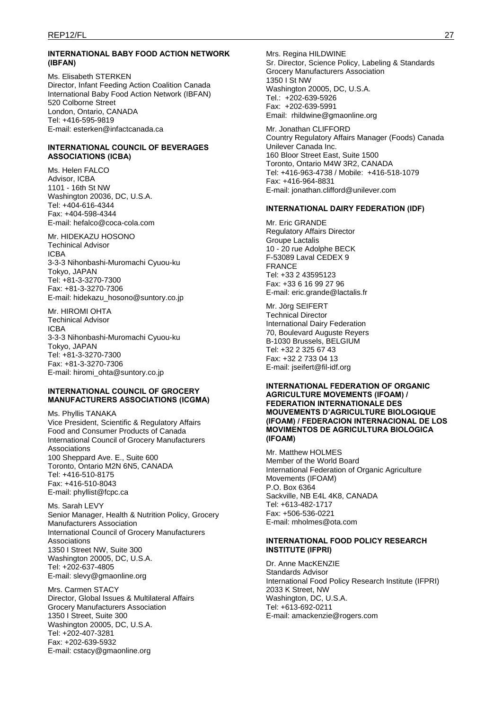#### **INTERNATIONAL BABY FOOD ACTION NETWORK (IBFAN)**

Ms. Elisabeth STERKEN Director, Infant Feeding Action Coalition Canada International Baby Food Action Network (IBFAN) 520 Colborne Street London, Ontario, CANADA Tel: +416-595-9819 E-mail: esterken@infactcanada.ca

#### **INTERNATIONAL COUNCIL OF BEVERAGES ASSOCIATIONS (ICBA)**

Ms. Helen FALCO Advisor, ICBA 1101 - 16th St NW Washington 20036, DC, U.S.A. Tel: +404-616-4344 Fax: +404-598-4344 E-mail: hefalco@coca-cola.com

Mr. HIDEKAZU HOSONO Techinical Advisor ICBA 3-3-3 Nihonbashi-Muromachi Cyuou-ku Tokyo, JAPAN Tel: +81-3-3270-7300 Fax: +81-3-3270-7306 E-mail: hidekazu\_hosono@suntory.co.jp

Mr. HIROMI OHTA Techinical Advisor ICBA 3-3-3 Nihonbashi-Muromachi Cyuou-ku Tokyo, JAPAN Tel: +81-3-3270-7300 Fax: +81-3-3270-7306 E-mail: hiromi\_ohta@suntory.co.jp

#### **INTERNATIONAL COUNCIL OF GROCERY MANUFACTURERS ASSOCIATIONS (ICGMA)**

Ms. Phyllis TANAKA Vice President, Scientific & Regulatory Affairs Food and Consumer Products of Canada International Council of Grocery Manufacturers Associations 100 Sheppard Ave. E., Suite 600 Toronto, Ontario M2N 6N5, CANADA Tel: +416-510-8175 Fax: +416-510-8043 E-mail: phyllist@fcpc.ca

Ms. Sarah LEVY Senior Manager, Health & Nutrition Policy, Grocery Manufacturers Association International Council of Grocery Manufacturers Associations 1350 I Street NW, Suite 300 Washington 20005, DC, U.S.A. Tel: +202-637-4805 E-mail: slevy@gmaonline.org

Mrs. Carmen STACY Director, Global Issues & Multilateral Affairs Grocery Manufacturers Association 1350 I Street, Suite 300 Washington 20005, DC, U.S.A. Tel: +202-407-3281 Fax: +202-639-5932 E-mail: cstacy@gmaonline.org

Mrs. Regina HILDWINE Sr. Director, Science Policy, Labeling & Standards Grocery Manufacturers Association 1350 I St NW Washington 20005, DC, U.S.A. Tel.: +202-639-5926 Fax: +202-639-5991 Email: rhildwine@gmaonline.org

Mr. Jonathan CLIFFORD Country Regulatory Affairs Manager (Foods) Canada Unilever Canada Inc. 160 Bloor Street East, Suite 1500 Toronto, Ontario M4W 3R2, CANADA Tel: +416-963-4738 / Mobile: +416-518-1079 Fax: +416-964-8831 E-mail: jonathan.clifford@unilever.com

#### **INTERNATIONAL DAIRY FEDERATION (IDF)**

Mr. Eric GRANDE Regulatory Affairs Director Groupe Lactalis 10 - 20 rue Adolphe BECK F-53089 Laval CEDEX 9 FRANCE Tel: +33 2 43595123 Fax: +33 6 16 99 27 96 E-mail: eric.grande@lactalis.fr

Mr. Jörg SEIFERT Technical Director International Dairy Federation 70, Boulevard Auguste Reyers B-1030 Brussels, BELGIUM Tel: +32 2 325 67 43 Fax: +32 2 733 04 13 E-mail: jseifert@fil-idf.org

#### **INTERNATIONAL FEDERATION OF ORGANIC AGRICULTURE MOVEMENTS (IFOAM) / FEDERATION INTERNATIONALE DES MOUVEMENTS D'AGRICULTURE BIOLOGIQUE (IFOAM) / FEDERACION INTERNACIONAL DE LOS MOVIMENTOS DE AGRICULTURA BIOLOGICA (IFOAM)**

Mr. Matthew HOLMES Member of the World Board International Federation of Organic Agriculture Movements (IFOAM) P.O. Box 6364 Sackville, NB E4L 4K8, CANADA Tel: +613-482-1717 Fax: +506-536-0221 E-mail: mholmes@ota.com

### **INTERNATIONAL FOOD POLICY RESEARCH INSTITUTE (IFPRI)**

Dr. Anne MacKENZIE Standards Advisor International Food Policy Research Institute (IFPRI) 2033 K Street, NW Washington, DC, U.S.A. Tel: +613-692-0211 E-mail: amackenzie@rogers.com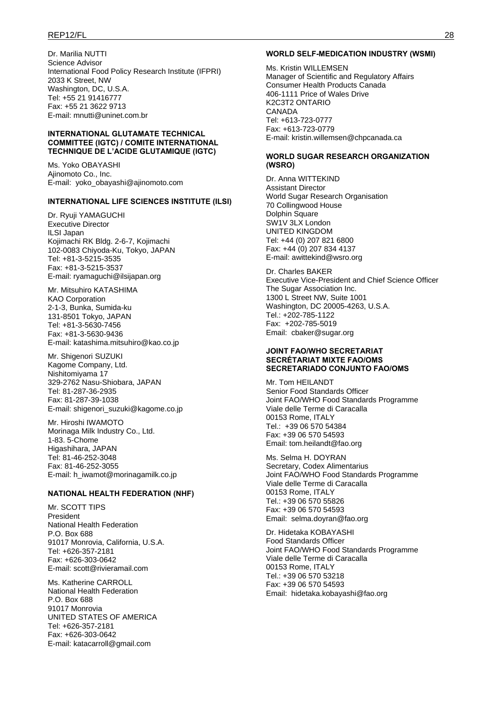### REP12/FL 28

Dr. Marilia NUTTI Science Advisor International Food Policy Research Institute (IFPRI) 2033 K Street, NW Washington, DC, U.S.A. Tel: +55 21 91416777 Fax: +55 21 3622 9713 E-mail: mnutti@uninet.com.br

### **INTERNATIONAL GLUTAMATE TECHNICAL COMMITTEE (IGTC) / COMITE INTERNATIONAL TECHNIQUE DE L'ACIDE GLUTAMIQUE (IGTC)**

Ms. Yoko OBAYASHI Ajinomoto Co., Inc. E-mail: yoko\_obayashi@ajinomoto.com

### **INTERNATIONAL LIFE SCIENCES INSTITUTE (ILSI)**

Dr. Ryuji YAMAGUCHI Executive Director ILSI Japan Kojimachi RK Bldg. 2-6-7, Kojimachi 102-0083 Chiyoda-Ku, Tokyo, JAPAN Tel: +81-3-5215-3535 Fax: +81-3-5215-3537 E-mail: ryamaguchi@ilsijapan.org

Mr. Mitsuhiro KATASHIMA KAO Corporation 2-1-3, Bunka, Sumida-ku 131-8501 Tokyo, JAPAN Tel: +81-3-5630-7456 Fax: +81-3-5630-9436 E-mail: katashima.mitsuhiro@kao.co.jp

Mr. Shigenori SUZUKI Kagome Company, Ltd. Nishitomiyama 17 329-2762 Nasu-Shiobara, JAPAN Tel: 81-287-36-2935 Fax: 81-287-39-1038 E-mail: shigenori\_suzuki@kagome.co.jp

Mr. Hiroshi IWAMOTO Morinaga Milk Industry Co., Ltd. 1-83. 5-Chome Higashihara, JAPAN Tel: 81-46-252-3048 Fax: 81-46-252-3055 E-mail: h\_iwamot@morinagamilk.co.jp

#### **NATIONAL HEALTH FEDERATION (NHF)**

Mr. SCOTT TIPS President National Health Federation P.O. Box 688 91017 Monrovia, California, U.S.A. Tel: +626-357-2181 Fax: +626-303-0642 E-mail: scott@rivieramail.com

Ms. Katherine CARROLL National Health Federation P.O. Box 688 91017 Monrovia UNITED STATES OF AMERICA Tel: +626-357-2181 Fax: +626-303-0642 E-mail: katacarroll@gmail.com

#### **WORLD SELF-MEDICATION INDUSTRY (WSMI)**

Ms. Kristin WILLEMSEN Manager of Scientific and Regulatory Affairs Consumer Health Products Canada 406-1111 Price of Wales Drive K2C3T2 ONTARIO CANADA Tel: +613-723-0777 Fax: +613-723-0779 E-mail: kristin.willemsen@chpcanada.ca

#### **WORLD SUGAR RESEARCH ORGANIZATION (WSRO)**

Dr. Anna WITTEKIND Assistant Director World Sugar Research Organisation 70 Collingwood House Dolphin Square SW1V 3LX London UNITED KINGDOM Tel: +44 (0) 207 821 6800 Fax: +44 (0) 207 834 4137 E-mail: awittekind@wsro.org

Dr. Charles BAKER Executive Vice-President and Chief Science Officer The Sugar Association Inc. 1300 L Street NW, Suite 1001 Washington, DC 20005-4263, U.S.A. Tel.: +202-785-1122 Fax: +202-785-5019 Email: cbaker@sugar.org

#### **JOINT FAO/WHO SECRETARIAT SECRÉTARIAT MIXTE FAO/OMS SECRETARIADO CONJUNTO FAO/OMS**

Mr. Tom HEILANDT Senior Food Standards Officer Joint FAO/WHO Food Standards Programme Viale delle Terme di Caracalla 00153 Rome, ITALY Tel.: +39 06 570 54384 Fax: +39 06 570 54593 Email: tom.heilandt@fao.org

Ms. Selma H. DOYRAN Secretary, Codex Alimentarius Joint FAO/WHO Food Standards Programme Viale delle Terme di Caracalla 00153 Rome, ITALY Tel.: +39 06 570 55826 Fax: +39 06 570 54593 Email: selma.doyran@fao.org

Dr. Hidetaka KOBAYASHI Food Standards Officer Joint FAO/WHO Food Standards Programme Viale delle Terme di Caracalla 00153 Rome, ITALY Tel.: +39 06 570 53218 Fax: +39 06 570 54593 Email: hidetaka.kobayashi@fao.org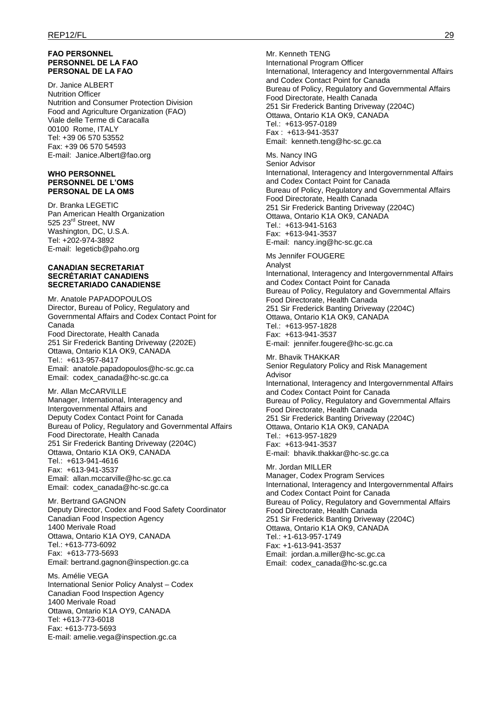#### **FAO PERSONNEL PERSONNEL DE LA FAO PERSONAL DE LA FAO**

Dr. Janice ALBERT Nutrition Officer Nutrition and Consumer Protection Division Food and Agriculture Organization (FAO) Viale delle Terme di Caracalla 00100 Rome, ITALY Tel: +39 06 570 53552 Fax: +39 06 570 54593 E-mail: Janice.Albert@fao.org

#### **WHO PERSONNEL PERSONNEL DE L'OMS PERSONAL DE LA OMS**

Dr. Branka LEGETIC Pan American Health Organization 525 23<sup>rd</sup> Street, NW Washington, DC, U.S.A. Tel: +202-974-3892 E-mail: legeticb@paho.org

#### **CANADIAN SECRETARIAT SECRÉTARIAT CANADIENS SECRETARIADO CANADIENSE**

Mr. Anatole PAPADOPOULOS Director, Bureau of Policy, Regulatory and Governmental Affairs and Codex Contact Point for Canada Food Directorate, Health Canada 251 Sir Frederick Banting Driveway (2202E) Ottawa, Ontario K1A OK9, CANADA Tel.: +613-957-8417 Email: anatole.papadopoulos@hc-sc.gc.ca Email: codex\_canada@hc-sc.gc.ca

Mr. Allan McCARVILLE Manager, International, Interagency and Intergovernmental Affairs and Deputy Codex Contact Point for Canada Bureau of Policy, Regulatory and Governmental Affairs Food Directorate, Health Canada 251 Sir Frederick Banting Driveway (2204C) Ottawa, Ontario K1A OK9, CANADA Tel.: +613-941-4616 Fax: +613-941-3537 Email: allan.mccarville@hc-sc.gc.ca Email: codex\_canada@hc-sc.gc.ca

Mr. Bertrand GAGNON Deputy Director, Codex and Food Safety Coordinator Canadian Food Inspection Agency 1400 Merivale Road Ottawa, Ontario K1A OY9, CANADA Tel.: +613-773-6092 Fax: +613-773-5693 Email: bertrand.gagnon@inspection.gc.ca

Ms. Amélie VEGA International Senior Policy Analyst – Codex Canadian Food Inspection Agency 1400 Merivale Road Ottawa, Ontario K1A OY9, CANADA Tel: +613-773-6018 Fax: +613-773-5693 E-mail: amelie.vega@inspection.gc.ca

Mr. Kenneth TENG International Program Officer International, Interagency and Intergovernmental Affairs and Codex Contact Point for Canada Bureau of Policy, Regulatory and Governmental Affairs Food Directorate, Health Canada 251 Sir Frederick Banting Driveway (2204C) Ottawa, Ontario K1A OK9, CANADA Tel.: +613-957-0189 Fax : +613-941-3537 Email: kenneth.teng@hc-sc.gc.ca

Ms. Nancy ING Senior Advisor International, Interagency and Intergovernmental Affairs and Codex Contact Point for Canada Bureau of Policy, Regulatory and Governmental Affairs Food Directorate, Health Canada 251 Sir Frederick Banting Driveway (2204C) Ottawa, Ontario K1A OK9, CANADA Tel.: +613-941-5163 Fax: +613-941-3537 E-mail: nancy.ing@hc-sc.gc.ca

Ms Jennifer FOUGERE Analyst International, Interagency and Intergovernmental Affairs and Codex Contact Point for Canada Bureau of Policy, Regulatory and Governmental Affairs Food Directorate, Health Canada 251 Sir Frederick Banting Driveway (2204C) Ottawa, Ontario K1A OK9, CANADA Tel.: +613-957-1828 Fax: +613-941-3537 E-mail: jennifer.fougere@hc-sc.gc.ca

Mr. Bhavik THAKKAR Senior Regulatory Policy and Risk Management Advisor International, Interagency and Intergovernmental Affairs and Codex Contact Point for Canada Bureau of Policy, Regulatory and Governmental Affairs Food Directorate, Health Canada 251 Sir Frederick Banting Driveway (2204C) Ottawa, Ontario K1A OK9, CANADA Tel.: +613-957-1829 Fax: +613-941-3537 E-mail: bhavik.thakkar@hc-sc.gc.ca

Mr. Jordan MILLER Manager, Codex Program Services International, Interagency and Intergovernmental Affairs and Codex Contact Point for Canada Bureau of Policy, Regulatory and Governmental Affairs Food Directorate, Health Canada 251 Sir Frederick Banting Driveway (2204C) Ottawa, Ontario K1A OK9, CANADA Tel.: +1-613-957-1749 Fax: +1-613-941-3537 Email: jordan.a.miller@hc-sc.gc.ca Email: codex\_canada@hc-sc.gc.ca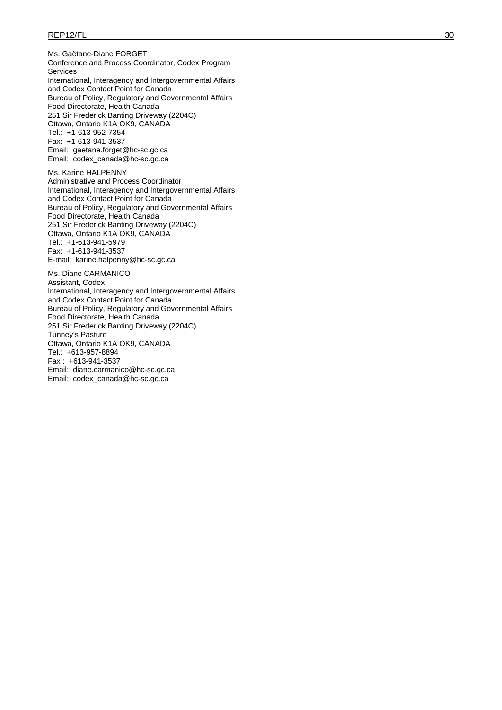Ms. Gaëtane-Diane FORGET Conference and Process Coordinator, Codex Program Services International, Interagency and Intergovernmental Affairs and Codex Contact Point for Canada Bureau of Policy, Regulatory and Governmental Affairs Food Directorate, Health Canada 251 Sir Frederick Banting Driveway (2204C) Ottawa, Ontario K1A OK9, CANADA Tel.: +1-613-952-7354 Fax: +1-613-941-3537 Email: gaetane.forget@hc-sc.gc.ca Email: codex\_canada@hc-sc.gc.ca Ms. Karine HALPENNY Administrative and Process Coordinator International, Interagency and Intergovernmental Affairs and Codex Contact Point for Canada Bureau of Policy, Regulatory and Governmental Affairs Food Directorate, Health Canada

251 Sir Frederick Banting Driveway (2204C) Ottawa, Ontario K1A OK9, CANADA Tel.: +1-613-941-5979 Fax: +1-613-941-3537 E-mail: karine.halpenny@hc-sc.gc.ca

Ms. Diane CARMANICO Assistant, Codex International, Interagency and Intergovernmental Affairs and Codex Contact Point for Canada Bureau of Policy, Regulatory and Governmental Affairs Food Directorate, Health Canada 251 Sir Frederick Banting Driveway (2204C) Tunney's Pasture Ottawa, Ontario K1A OK9, CANADA Tel.: +613-957-8894 Fax : +613-941-3537 Email: diane.carmanico@hc-sc.gc.ca Email: codex\_canada@hc-sc.gc.ca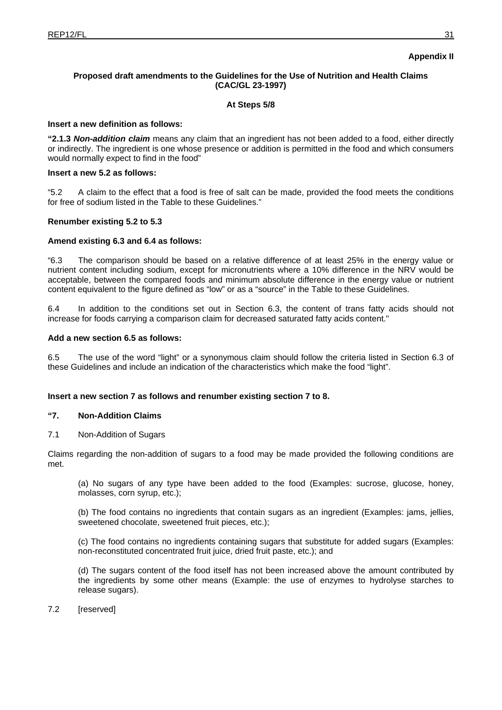# **Appendix II**

# **Proposed draft amendments to the Guidelines for the Use of Nutrition and Health Claims (CAC/GL 23-1997)**

### **At Steps 5/8**

### **Insert a new definition as follows:**

**"2.1.3** *Non-addition claim* means any claim that an ingredient has not been added to a food, either directly or indirectly. The ingredient is one whose presence or addition is permitted in the food and which consumers would normally expect to find in the food"

### **Insert a new 5.2 as follows:**

"5.2 A claim to the effect that a food is free of salt can be made, provided the food meets the conditions for free of sodium listed in the Table to these Guidelines."

### **Renumber existing 5.2 to 5.3**

### **Amend existing 6.3 and 6.4 as follows:**

"6.3 The comparison should be based on a relative difference of at least 25% in the energy value or nutrient content including sodium, except for micronutrients where a 10% difference in the NRV would be acceptable, between the compared foods and minimum absolute difference in the energy value or nutrient content equivalent to the figure defined as "low" or as a "source" in the Table to these Guidelines.

6.4 In addition to the conditions set out in Section 6.3, the content of trans fatty acids should not increase for foods carrying a comparison claim for decreased saturated fatty acids content."

### **Add a new section 6.5 as follows:**

6.5 The use of the word "light" or a synonymous claim should follow the criteria listed in Section 6.3 of these Guidelines and include an indication of the characteristics which make the food "light".

### **Insert a new section 7 as follows and renumber existing section 7 to 8.**

### **"7. Non-Addition Claims**

7.1 Non-Addition of Sugars

Claims regarding the non-addition of sugars to a food may be made provided the following conditions are met.

(a) No sugars of any type have been added to the food (Examples: sucrose, glucose, honey, molasses, corn syrup, etc.);

(b) The food contains no ingredients that contain sugars as an ingredient (Examples: jams, jellies, sweetened chocolate, sweetened fruit pieces, etc.);

(c) The food contains no ingredients containing sugars that substitute for added sugars (Examples: non-reconstituted concentrated fruit juice, dried fruit paste, etc.); and

(d) The sugars content of the food itself has not been increased above the amount contributed by the ingredients by some other means (Example: the use of enzymes to hydrolyse starches to release sugars).

7.2 [reserved]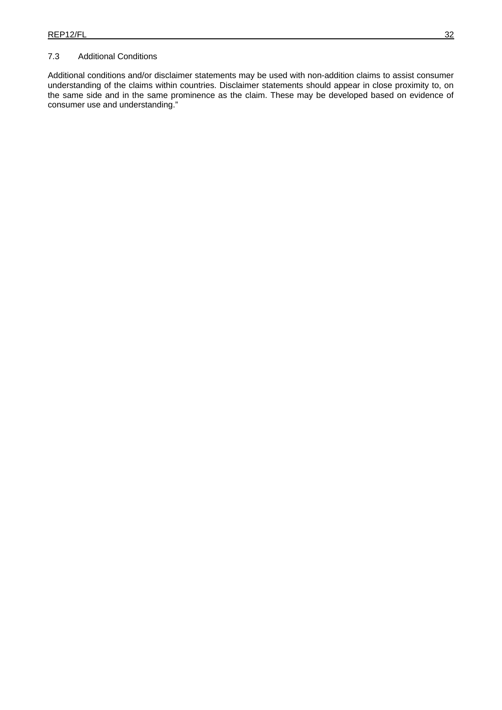# 7.3 Additional Conditions

Additional conditions and/or disclaimer statements may be used with non-addition claims to assist consumer understanding of the claims within countries. Disclaimer statements should appear in close proximity to, on the same side and in the same prominence as the claim. These may be developed based on evidence of consumer use and understanding."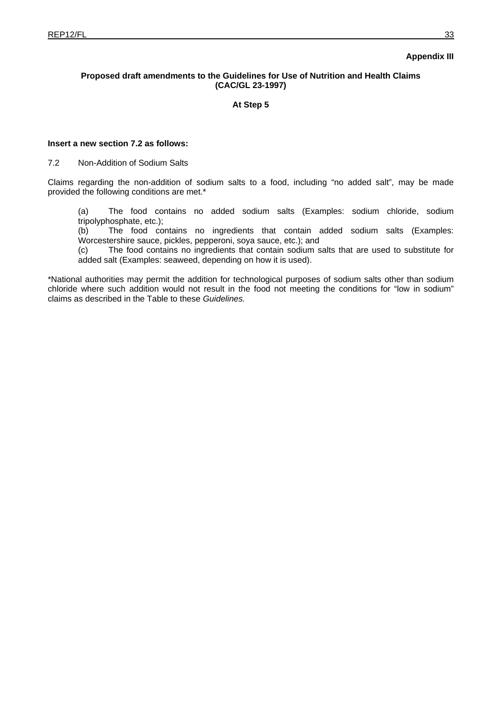# **Appendix III**

# **Proposed draft amendments to the Guidelines for Use of Nutrition and Health Claims (CAC/GL 23-1997)**

**At Step 5** 

# **Insert a new section 7.2 as follows:**

7.2 Non-Addition of Sodium Salts

Claims regarding the non-addition of sodium salts to a food, including "no added salt", may be made provided the following conditions are met.\*

(a) The food contains no added sodium salts (Examples: sodium chloride, sodium tripolyphosphate, etc.);

(b) The food contains no ingredients that contain added sodium salts (Examples: Worcestershire sauce, pickles, pepperoni, soya sauce, etc.); and

(c) The food contains no ingredients that contain sodium salts that are used to substitute for added salt (Examples: seaweed, depending on how it is used).

\*National authorities may permit the addition for technological purposes of sodium salts other than sodium chloride where such addition would not result in the food not meeting the conditions for "low in sodium" claims as described in the Table to these *Guidelines.*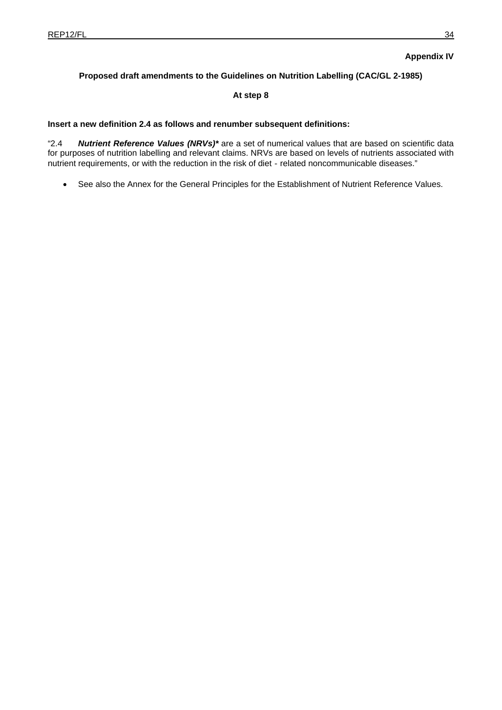# **Appendix IV**

# **Proposed draft amendments to the Guidelines on Nutrition Labelling (CAC/GL 2-1985)**

# **At step 8**

# **Insert a new definition 2.4 as follows and renumber subsequent definitions:**

"2.4 *Nutrient Reference Values (NRVs)\** are a set of numerical values that are based on scientific data for purposes of nutrition labelling and relevant claims. NRVs are based on levels of nutrients associated with nutrient requirements, or with the reduction in the risk of diet - related noncommunicable diseases."

See also the Annex for the General Principles for the Establishment of Nutrient Reference Values.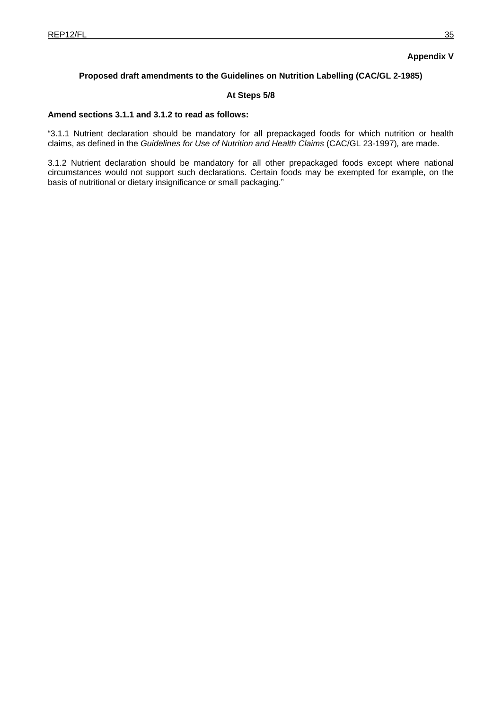# **Appendix V**

# **Proposed draft amendments to the Guidelines on Nutrition Labelling (CAC/GL 2-1985)**

# **At Steps 5/8**

### **Amend sections 3.1.1 and 3.1.2 to read as follows:**

"3.1.1 Nutrient declaration should be mandatory for all prepackaged foods for which nutrition or health claims, as defined in the *Guidelines for Use of Nutrition and Health Claims* (CAC/GL 23-1997)*,* are made.

3.1.2 Nutrient declaration should be mandatory for all other prepackaged foods except where national circumstances would not support such declarations. Certain foods may be exempted for example, on the basis of nutritional or dietary insignificance or small packaging."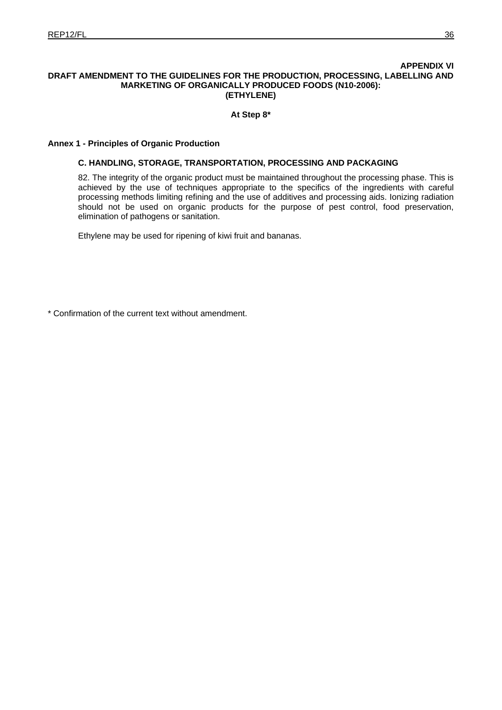# **APPENDIX VI DRAFT AMENDMENT TO THE GUIDELINES FOR THE PRODUCTION, PROCESSING, LABELLING AND MARKETING OF ORGANICALLY PRODUCED FOODS (N10-2006): (ETHYLENE)**

# **At Step 8\***

# **Annex 1 - Principles of Organic Production**

# **C. HANDLING, STORAGE, TRANSPORTATION, PROCESSING AND PACKAGING**

82. The integrity of the organic product must be maintained throughout the processing phase. This is achieved by the use of techniques appropriate to the specifics of the ingredients with careful processing methods limiting refining and the use of additives and processing aids. Ionizing radiation should not be used on organic products for the purpose of pest control, food preservation, elimination of pathogens or sanitation.

Ethylene may be used for ripening of kiwi fruit and bananas.

\* Confirmation of the current text without amendment.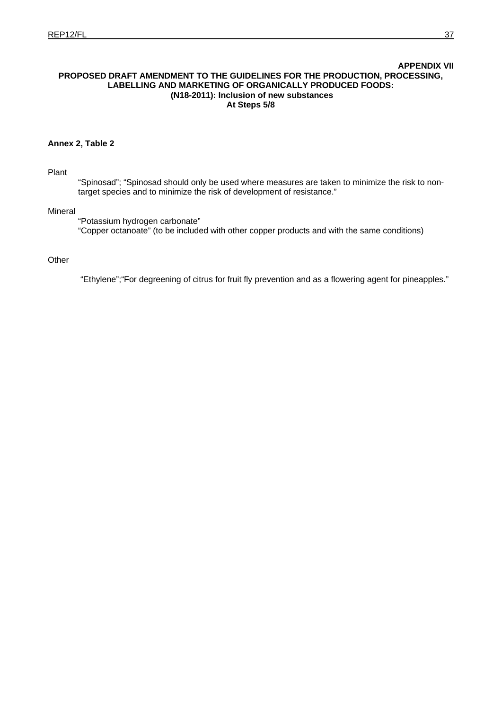### **APPENDIX VII PROPOSED DRAFT AMENDMENT TO THE GUIDELINES FOR THE PRODUCTION, PROCESSING, LABELLING AND MARKETING OF ORGANICALLY PRODUCED FOODS: (N18-2011): Inclusion of new substances At Steps 5/8**

# **Annex 2, Table 2**

Plant

"Spinosad"; "Spinosad should only be used where measures are taken to minimize the risk to nontarget species and to minimize the risk of development of resistance."

# Mineral

 "Potassium hydrogen carbonate" "Copper octanoate" (to be included with other copper products and with the same conditions)

### **Other**

"Ethylene";"For degreening of citrus for fruit fly prevention and as a flowering agent for pineapples."